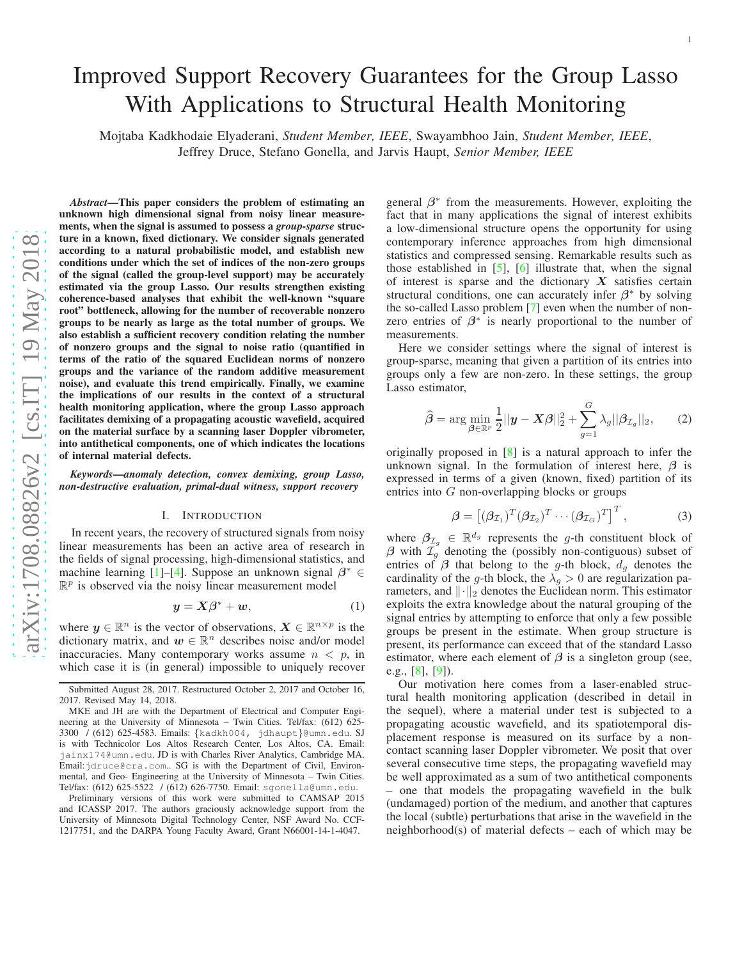# Improved Support Recovery Guarantees for the Group Lasso With Applications to Structural Health Monitoring

Mojtaba Kadkhodaie Elyaderani, *Student Member, IEEE*, Swayambhoo Jain, *Student Member, IEEE*, Jeffrey Druce, Stefano Gonella, and Jarvis Haupt, *Senior Member, IEEE*

arXiv:1708.08826v2 [cs.IT] 19 May 2018 [arXiv:1708.08826v2 \[cs.IT\] 19 May 2018](http://arxiv.org/abs/1708.08826v2)

*Abstract*—This paper considers the problem of estimating an unknown high dimensional signal from noisy linear measurements, when the signal is assumed to possess a *group-sparse* structure in a known, fixed dictionary. We consider signals generated according to a natural probabilistic model, and establish new conditions under which the set of indices of the non-zero groups of the signal (called the group-level support) may be accurately estimated via the group Lasso. Our results strengthen existing coherence-based analyses that exhibit the well-known "square root" bottleneck, allowing for the number of recoverable nonzero groups to be nearly as large as the total number of groups. We also establish a sufficient recovery condition relating the number of nonzero groups and the signal to noise ratio (quantified in terms of the ratio of the squared Euclidean norms of nonzero groups and the variance of the random additive measurement noise), and evaluate this trend empirically. Finally, we examine the implications of our results in the context of a structural health monitoring application, where the group Lasso approach facilitates demixing of a propagating acoustic wavefield, acquired on the material surface by a scanning laser Doppler vibrometer, into antithetical components, one of which indicates the locations of internal material defects.

*Keywords*—*anomaly detection, convex demixing, group Lasso, non-destructive evaluation, primal-dual witness, support recovery*

#### I. INTRODUCTION

In recent years, the recovery of structured signals from noisy linear measurements has been an active area of research in the fields of signal processing, high-dimensional statistics, and machine learning [\[1\]](#page-15-0)–[\[4\]](#page-15-1). Suppose an unknown signal  $\beta^* \in \mathbb{R}^n$ .  $\mathbb{R}^p$  is observed via the noisy linear measurement model

<span id="page-0-0"></span>
$$
y = X\beta^* + w,\tag{1}
$$

where  $y \in \mathbb{R}^n$  is the vector of observations,  $X \in \mathbb{R}^{n \times p}$  is the dictionary matrix, and  $w \in \mathbb{R}^n$  describes noise and/or model inaccuracies. Many contemporary works assume  $n < p$ , in which case it is (in general) impossible to uniquely recover

general  $\beta^*$  from the measurements. However, exploiting the fact that in many applications the signal of interest exhibits a low-dimensional structure opens the opportunity for using contemporary inference approaches from high dimensional statistics and compressed sensing. Remarkable results such as those established in  $[5]$ ,  $[6]$  illustrate that, when the signal of interest is sparse and the dictionary  $X$  satisfies certain structural conditions, one can accurately infer  $\beta^*$  by solving the so-called Lasso problem [\[7\]](#page-15-4) even when the number of nonzero entries of  $\beta^*$  is nearly proportional to the number of measurements.

Here we consider settings where the signal of interest is group-sparse, meaning that given a partition of its entries into groups only a few are non-zero. In these settings, the group Lasso estimator,

<span id="page-0-1"></span>
$$
\widehat{\boldsymbol{\beta}} = \arg \min_{\boldsymbol{\beta} \in \mathbb{R}^p} \frac{1}{2} ||\mathbf{y} - \mathbf{X}\boldsymbol{\beta}||_2^2 + \sum_{g=1}^G \lambda_g ||\boldsymbol{\beta}_{\mathcal{I}_g}||_2, \qquad (2)
$$

originally proposed in [\[8\]](#page-15-5) is a natural approach to infer the unknown signal. In the formulation of interest here,  $\beta$  is expressed in terms of a given (known, fixed) partition of its entries into G non-overlapping blocks or groups

<span id="page-0-2"></span>
$$
\boldsymbol{\beta} = \left[ (\boldsymbol{\beta}_{\mathcal{I}_1})^T (\boldsymbol{\beta}_{\mathcal{I}_2})^T \cdots (\boldsymbol{\beta}_{\mathcal{I}_G})^T \right]^T, \tag{3}
$$

where  $\beta_{\mathcal{I}_g} \in \mathbb{R}^{d_g}$  represents the g-th constituent block of  $\beta$  with  $\mathcal{I}_g$  denoting the (possibly non-contiguous) subset of entries of  $\beta$  that belong to the g-th block,  $d_g$  denotes the cardinality of the g-th block, the  $\lambda_g > 0$  are regularization parameters, and  $\lVert \cdot \rVert_2$  denotes the Euclidean norm. This estimator exploits the extra knowledge about the natural grouping of the signal entries by attempting to enforce that only a few possible groups be present in the estimate. When group structure is present, its performance can exceed that of the standard Lasso estimator, where each element of  $\beta$  is a singleton group (see, e.g., [\[8\]](#page-15-5), [\[9\]](#page-15-6)).

Our motivation here comes from a laser-enabled structural health monitoring application (described in detail in the sequel), where a material under test is subjected to a propagating acoustic wavefield, and its spatiotemporal displacement response is measured on its surface by a noncontact scanning laser Doppler vibrometer. We posit that over several consecutive time steps, the propagating wavefield may be well approximated as a sum of two antithetical components – one that models the propagating wavefield in the bulk (undamaged) portion of the medium, and another that captures the local (subtle) perturbations that arise in the wavefield in the neighborhood(s) of material defects – each of which may be

Submitted August 28, 2017. Restructured October 2, 2017 and October 16, 2017. Revised May 14, 2018.

MKE and JH are with the Department of Electrical and Computer Engineering at the University of Minnesota – Twin Cities. Tel/fax: (612) 625- 3300 / (612) 625-4583. Emails: {kadkh004, jdhaupt}@umn.edu. SJ is with Technicolor Los Altos Research Center, Los Altos, CA. Email: jainx174@umn.edu. JD is with Charles River Analytics, Cambridge MA. Email:jdruce@cra.com.. SG is with the Department of Civil, Environmental, and Geo- Engineering at the University of Minnesota – Twin Cities. Tel/fax: (612) 625-5522 / (612) 626-7750. Email: sgonella@umn.edu.

Preliminary versions of this work were submitted to CAMSAP 2015 and ICASSP 2017. The authors graciously acknowledge support from the University of Minnesota Digital Technology Center, NSF Award No. CCF-1217751, and the DARPA Young Faculty Award, Grant N66001-14-1-4047.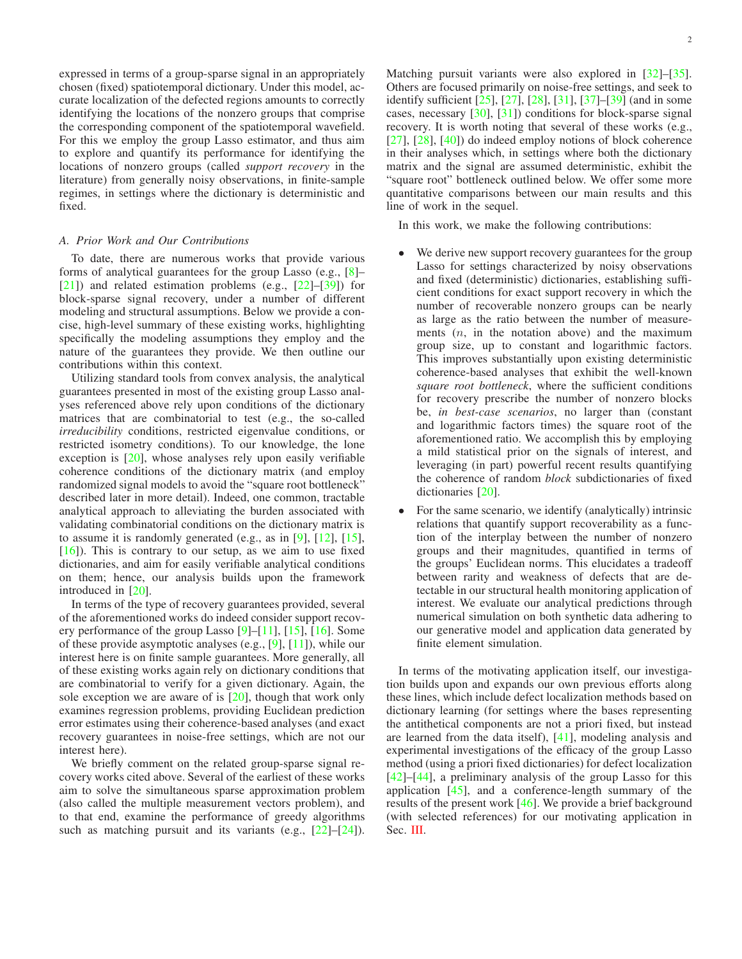expressed in terms of a group-sparse signal in an appropriately chosen (fixed) spatiotemporal dictionary. Under this model, accurate localization of the defected regions amounts to correctly identifying the locations of the nonzero groups that comprise the corresponding component of the spatiotemporal wavefield. For this we employ the group Lasso estimator, and thus aim to explore and quantify its performance for identifying the locations of nonzero groups (called *support recovery* in the literature) from generally noisy observations, in finite-sample regimes, in settings where the dictionary is deterministic and fixed.

## *A. Prior Work and Our Contributions*

To date, there are numerous works that provide various forms of analytical guarantees for the group Lasso (e.g., [\[8\]](#page-15-5)– [\[21\]](#page-15-7)) and related estimation problems (e.g., [\[22\]](#page-15-8)–[\[39\]](#page-16-0)) for block-sparse signal recovery, under a number of different modeling and structural assumptions. Below we provide a concise, high-level summary of these existing works, highlighting specifically the modeling assumptions they employ and the nature of the guarantees they provide. We then outline our contributions within this context.

Utilizing standard tools from convex analysis, the analytical guarantees presented in most of the existing group Lasso analyses referenced above rely upon conditions of the dictionary matrices that are combinatorial to test (e.g., the so-called *irreducibility* conditions, restricted eigenvalue conditions, or restricted isometry conditions). To our knowledge, the lone exception is [\[20\]](#page-15-9), whose analyses rely upon easily verifiable coherence conditions of the dictionary matrix (and employ randomized signal models to avoid the "square root bottleneck" described later in more detail). Indeed, one common, tractable analytical approach to alleviating the burden associated with validating combinatorial conditions on the dictionary matrix is to assume it is randomly generated (e.g., as in  $[9]$ ,  $[12]$ ,  $[15]$ , [\[16\]](#page-15-12)). This is contrary to our setup, as we aim to use fixed dictionaries, and aim for easily verifiable analytical conditions on them; hence, our analysis builds upon the framework introduced in [\[20\]](#page-15-9).

In terms of the type of recovery guarantees provided, several of the aforementioned works do indeed consider support recovery performance of the group Lasso [\[9\]](#page-15-6)–[\[11\]](#page-15-13), [\[15\]](#page-15-11), [\[16\]](#page-15-12). Some of these provide asymptotic analyses (e.g., [\[9\]](#page-15-6), [\[11\]](#page-15-13)), while our interest here is on finite sample guarantees. More generally, all of these existing works again rely on dictionary conditions that are combinatorial to verify for a given dictionary. Again, the sole exception we are aware of is [\[20\]](#page-15-9), though that work only examines regression problems, providing Euclidean prediction error estimates using their coherence-based analyses (and exact recovery guarantees in noise-free settings, which are not our interest here).

We briefly comment on the related group-sparse signal recovery works cited above. Several of the earliest of these works aim to solve the simultaneous sparse approximation problem (also called the multiple measurement vectors problem), and to that end, examine the performance of greedy algorithms such as matching pursuit and its variants (e.g.,  $[22]-[24]$  $[22]-[24]$ ). Matching pursuit variants were also explored in [\[32\]](#page-16-2)–[\[35\]](#page-16-3). Others are focused primarily on noise-free settings, and seek to identify sufficient [\[25\]](#page-16-4), [\[27\]](#page-16-5), [\[28\]](#page-16-6), [\[31\]](#page-16-7), [\[37\]](#page-16-8)–[\[39\]](#page-16-0) (and in some cases, necessary [\[30\]](#page-16-9), [\[31\]](#page-16-7)) conditions for block-sparse signal recovery. It is worth noting that several of these works (e.g., [\[27\]](#page-16-5), [\[28\]](#page-16-6), [\[40\]](#page-16-10)) do indeed employ notions of block coherence in their analyses which, in settings where both the dictionary matrix and the signal are assumed deterministic, exhibit the "square root" bottleneck outlined below. We offer some more quantitative comparisons between our main results and this line of work in the sequel.

In this work, we make the following contributions:

- We derive new support recovery guarantees for the group Lasso for settings characterized by noisy observations and fixed (deterministic) dictionaries, establishing sufficient conditions for exact support recovery in which the number of recoverable nonzero groups can be nearly as large as the ratio between the number of measurements  $(n, \text{ in the notation above})$  and the maximum group size, up to constant and logarithmic factors. This improves substantially upon existing deterministic coherence-based analyses that exhibit the well-known *square root bottleneck*, where the sufficient conditions for recovery prescribe the number of nonzero blocks be, *in best-case scenarios*, no larger than (constant and logarithmic factors times) the square root of the aforementioned ratio. We accomplish this by employing a mild statistical prior on the signals of interest, and leveraging (in part) powerful recent results quantifying the coherence of random *block* subdictionaries of fixed dictionaries [\[20\]](#page-15-9).
- For the same scenario, we identify (analytically) intrinsic relations that quantify support recoverability as a function of the interplay between the number of nonzero groups and their magnitudes, quantified in terms of the groups' Euclidean norms. This elucidates a tradeoff between rarity and weakness of defects that are detectable in our structural health monitoring application of interest. We evaluate our analytical predictions through numerical simulation on both synthetic data adhering to our generative model and application data generated by finite element simulation.

In terms of the motivating application itself, our investigation builds upon and expands our own previous efforts along these lines, which include defect localization methods based on dictionary learning (for settings where the bases representing the antithetical components are not a priori fixed, but instead are learned from the data itself), [\[41\]](#page-16-11), modeling analysis and experimental investigations of the efficacy of the group Lasso method (using a priori fixed dictionaries) for defect localization [\[42\]](#page-16-12)–[\[44\]](#page-16-13), a preliminary analysis of the group Lasso for this application [\[45\]](#page-16-14), and a conference-length summary of the results of the present work [\[46\]](#page-16-15). We provide a brief background (with selected references) for our motivating application in Sec. [III.](#page-4-0)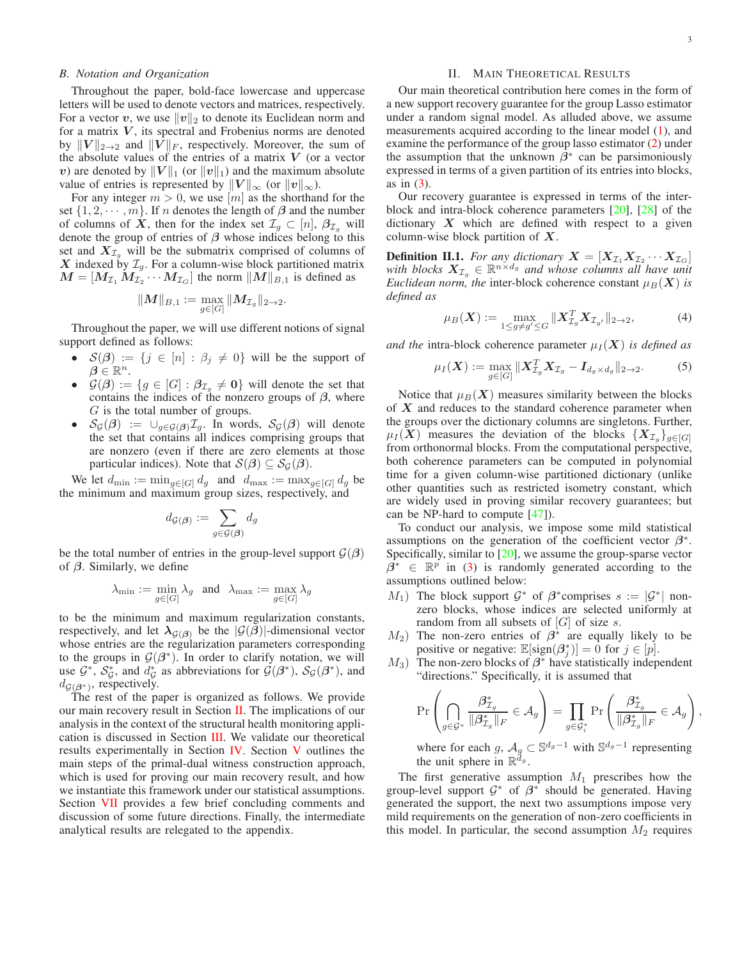# *B. Notation and Organization*

Throughout the paper, bold-face lowercase and uppercase letters will be used to denote vectors and matrices, respectively. For a vector v, we use  $||v||_2$  to denote its Euclidean norm and for a matrix  $V$ , its spectral and Frobenius norms are denoted by  $||V||_{2\rightarrow 2}$  and  $||V||_F$ , respectively. Moreover, the sum of the absolute values of the entries of a matrix  $V$  (or a vector v) are denoted by  $||V||_1$  (or  $||v||_1$ ) and the maximum absolute value of entries is represented by  $||V||_{\infty}$  (or  $||v||_{\infty}$ ).

For any integer  $m > 0$ , we use  $[m]$  as the shorthand for the set  $\{1, 2, \dots, m\}$ . If *n* denotes the length of  $\beta$  and the number of columns of X, then for the index set  $\mathcal{I}_g \subset [n], \beta_{\mathcal{I}_g}$  will denote the group of entries of  $\beta$  whose indices belong to this set and  $X_{\mathcal{I}_{q}}$  will be the submatrix comprised of columns of X indexed by  $\mathcal{I}_q$ . For a column-wise block partitioned matrix  $M = [M_{\mathcal{I}_1} M_{\mathcal{I}_2} \cdots M_{\mathcal{I}_G}]$  the norm  $||M||_{B,1}$  is defined as

$$
\|{\boldsymbol M}\|_{B,1}:=\max_{g\in[G]}\|{\boldsymbol M}_{\mathcal{I}_g}\|_{2\to 2}.
$$

Throughout the paper, we will use different notions of signal support defined as follows:

- $S(\beta) := \{j \in [n] : \beta_j \neq 0\}$  will be the support of  $\boldsymbol{\beta} \in \mathbb{R}^n$ .
- $\mathcal{G}(\beta) := \{ g \in [G] : \beta_{\mathcal{I}_q} \neq \mathbf{0} \}$  will denote the set that contains the indices of the nonzero groups of  $\beta$ , where  $G$  is the total number of groups.
- $\mathcal{S}_{\mathcal{G}}(\beta) := \cup_{g \in \mathcal{G}(\beta)} \mathcal{I}_g$ . In words,  $\mathcal{S}_{\mathcal{G}}(\beta)$  will denote the set that contains all indices comprising groups that are nonzero (even if there are zero elements at those particular indices). Note that  $S(\beta) \subseteq S_G(\beta)$ .

We let  $d_{\min} := \min_{g \in [G]} d_g$  and  $d_{\max} := \max_{g \in [G]} d_g$  be the minimum and maximum group sizes, respectively, and

$$
d_{\mathcal{G}(\boldsymbol{\beta})} := \sum_{g \in \mathcal{G}(\boldsymbol{\beta})} d_g
$$

be the total number of entries in the group-level support  $\mathcal{G}(\beta)$ of  $\beta$ . Similarly, we define

$$
\lambda_{\min} := \min_{g \in [G]} \lambda_g \text{ and } \lambda_{\max} := \max_{g \in [G]} \lambda_g
$$

to be the minimum and maximum regularization constants, respectively, and let  $\lambda_{\mathcal{G}(\beta)}$  be the  $|\mathcal{G}(\beta)|$ -dimensional vector whose entries are the regularization parameters corresponding to the groups in  $\mathcal{G}(\mathcal{B}^*)$ . In order to clarify notation, we will use  $\mathcal{G}^*, \mathcal{S}_{\mathcal{G}}^*$ , and  $d_{\mathcal{G}}^*$  as abbreviations for  $\mathcal{G}(\mathcal{B}^*)$ ,  $\mathcal{S}_{\mathcal{G}}(\mathcal{B}^*)$ , and  $d_{\mathcal{G}(\mathcal{B}^*)}$ , respectively.

The rest of the paper is organized as follows. We provide our main recovery result in Section [II.](#page-2-0) The implications of our analysis in the context of the structural health monitoring application is discussed in Section [III.](#page-4-0) We validate our theoretical results experimentally in Section [IV.](#page-5-0) Section [V](#page-7-0) outlines the main steps of the primal-dual witness construction approach, which is used for proving our main recovery result, and how we instantiate this framework under our statistical assumptions. Section [VII](#page-12-0) provides a few brief concluding comments and discussion of some future directions. Finally, the intermediate analytical results are relegated to the appendix.

# II. MAIN THEORETICAL RESULTS

<span id="page-2-0"></span>Our main theoretical contribution here comes in the form of a new support recovery guarantee for the group Lasso estimator under a random signal model. As alluded above, we assume measurements acquired according to the linear model [\(1\)](#page-0-0), and examine the performance of the group lasso estimator [\(2\)](#page-0-1) under the assumption that the unknown  $\beta^*$  can be parsimoniously expressed in terms of a given partition of its entries into blocks, as in  $(3)$ .

Our recovery guarantee is expressed in terms of the interblock and intra-block coherence parameters [\[20\]](#page-15-9), [\[28\]](#page-16-6) of the dictionary  $X$  which are defined with respect to a given column-wise block partition of  $X$ .

**Definition II.1.** For any dictionary  $X = [X_{\mathcal{I}_1} X_{\mathcal{I}_2} \cdots X_{\mathcal{I}_G}]$ with blocks  $X_{\mathcal{I}_g} \in \mathbb{R}^{n \times d_g}$  and whose columns all have unit *Euclidean norm, the* inter-block coherence constant  $\mu_B(X)$  *is defined as*

$$
\mu_B(\mathbf{X}) := \max_{1 \le g \ne g' \le G} \| \mathbf{X}_{\mathcal{I}_g}^T \mathbf{X}_{\mathcal{I}_{g'}} \|_{2 \to 2},
$$
(4)

*and the* intra-block coherence parameter  $\mu_I(\mathbf{X})$  *is defined as* 

$$
\mu_I(\boldsymbol{X}) := \max_{g \in [G]} \|\boldsymbol{X}_{\mathcal{I}_g}^T \boldsymbol{X}_{\mathcal{I}_g} - \boldsymbol{I}_{d_g \times d_g}\|_{2 \to 2}.
$$
 (5)

Notice that  $\mu_B(\mathbf{X})$  measures similarity between the blocks of  $X$  and reduces to the standard coherence parameter when the groups over the dictionary columns are singletons. Further,  $\mu_I(\mathbf{X})$  measures the deviation of the blocks  $\{X_{\mathcal{I}_q}\}_{q\in[G]}$ from orthonormal blocks. From the computational perspective, both coherence parameters can be computed in polynomial time for a given column-wise partitioned dictionary (unlike other quantities such as restricted isometry constant, which are widely used in proving similar recovery guarantees; but can be NP-hard to compute [\[47\]](#page-16-16)).

To conduct our analysis, we impose some mild statistical assumptions on the generation of the coefficient vector  $\beta^*$ . Specifically, similar to [\[20\]](#page-15-9), we assume the group-sparse vector  $\beta^* \in \mathbb{R}^p$  in [\(3\)](#page-0-2) is randomly generated according to the assumptions outlined below:

- $M_1$ ) The block support  $\mathcal{G}^*$  of  $\mathcal{G}^*$  comprises  $s := |\mathcal{G}^*|$  nonzero blocks, whose indices are selected uniformly at random from all subsets of  $[G]$  of size s.
- $M_2$ ) The non-zero entries of  $\beta^*$  are equally likely to be positive or negative:  $\mathbb{E}[\text{sign}(\beta_j^*)] = 0$  for  $j \in [p]$ .
- $(M_3)$  The non-zero blocks of  $\beta^*$  have statistically independent "directions." Specifically, it is assumed that

$$
\Pr\left(\bigcap_{g\in\mathcal{G}^*}\frac{\beta^*_{\mathcal{I}_g}}{\|\beta^*_{\mathcal{I}_g}\|_F}\in\mathcal{A}_g\right)=\prod_{g\in\mathcal{G}^*_i}\Pr\left(\frac{\beta^*_{\mathcal{I}_g}}{\|\beta^*_{\mathcal{I}_g}\|_F}\in\mathcal{A}_g\right),
$$

where for each g,  $A_g \subset \mathbb{S}^{d_g-1}$  with  $\mathbb{S}^{d_g-1}$  representing the unit sphere in  $\mathbb{R}^{\hat{d}_g}$ .

The first generative assumption  $M_1$  prescribes how the group-level support  $G^*$  of  $\beta^*$  should be generated. Having generated the support, the next two assumptions impose very mild requirements on the generation of non-zero coefficients in this model. In particular, the second assumption  $M_2$  requires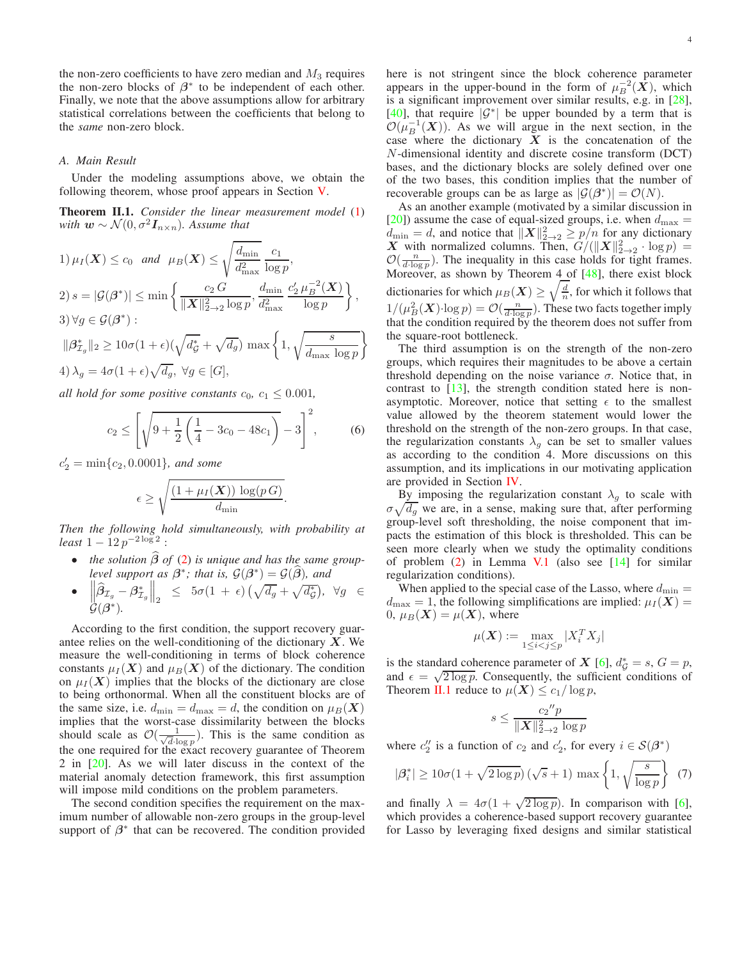the non-zero coefficients to have zero median and  $M_3$  requires the non-zero blocks of  $\beta^*$  to be independent of each other. Finally, we note that the above assumptions allow for arbitrary statistical correlations between the coefficients that belong to the *same* non-zero block.

# *A. Main Result*

Under the modeling assumptions above, we obtain the following theorem, whose proof appears in Section [V.](#page-7-0)

<span id="page-3-0"></span>Theorem II.1. *Consider the linear measurement model* [\(1\)](#page-0-0) *with*  $\mathbf{w} \sim \mathcal{N}(0, \sigma^2 \mathbf{I}_{n \times n})$ . Assume that

1) 
$$
\mu_I(\mathbf{X}) \le c_0
$$
 and  $\mu_B(\mathbf{X}) \le \sqrt{\frac{d_{\min}}{d_{\max}^2}} \frac{c_1}{\log p}$ ,  
\n2)  $s = |\mathcal{G}(\beta^*)| \le \min \left\{ \frac{c_2 G}{\|\mathbf{X}\|_{2 \to 2}^2 \log p}, \frac{d_{\min}}{d_{\max}^2} \frac{c_2' \mu_B^{-2}(\mathbf{X})}{\log p} \right\}$ ,  
\n3)  $\forall g \in \mathcal{G}(\beta^*)$ :  
\n $\|\beta^*_{\mathcal{I}_g}\|_2 \ge 10\sigma(1+\epsilon)(\sqrt{d^*_g} + \sqrt{d_g}) \max \left\{ 1, \sqrt{\frac{s}{d_{\min} \log p}} \right\}$ 

$$
\|\beta_{\mathcal{I}_g}^*\|_2 \ge 10\sigma (1+\epsilon)(\sqrt{d_g^* + \sqrt{d_g}}) \max\left\{1, \sqrt{\frac{\sigma}{d_{\max}} \log p}\right\}
$$
  
4)  $\lambda_g = 4\sigma (1+\epsilon)\sqrt{d_g}, \forall g \in [G],$ 

*all hold for some positive constants*  $c_0$ ,  $c_1 \leq 0.001$ ,

<span id="page-3-2"></span>
$$
c_2 \le \left[ \sqrt{9 + \frac{1}{2} \left( \frac{1}{4} - 3c_0 - 48c_1 \right)} - 3 \right]^2, \quad (6)
$$

.

 $c'_2 = \min\{c_2, 0.0001\}$ *, and some* 

$$
\epsilon \ge \sqrt{\frac{(1 + \mu_I(\boldsymbol{X})) \, \log(p \, G)}{d_{\min}}}
$$

*Then the following hold simultaneously, with probability at*  $least\ 1-12\,p^{-2\log 2}$ :

• *the solution*  $\hat{\beta}$  *of* [\(2\)](#page-0-1) *is unique and has the same grouplevel support as*  $\beta^*$ ; that is,  $\mathcal{G}(\beta^*) = \mathcal{G}(\beta)$ , and

• 
$$
\left\|\widehat{\beta}_{\mathcal{I}_g}-\beta_{\mathcal{I}_g}^*\right\|_2 \leq 5\sigma(1+\epsilon)\left(\sqrt{d_g}+\sqrt{d_g^*}\right), \ \forall g \in \mathcal{G}(\beta^*).
$$

According to the first condition, the support recovery guarantee relies on the well-conditioning of the dictionary  $X$ . We measure the well-conditioning in terms of block coherence constants  $\mu_I(\mathbf{X})$  and  $\mu_B(\mathbf{X})$  of the dictionary. The condition on  $\mu_I(X)$  implies that the blocks of the dictionary are close to being orthonormal. When all the constituent blocks are of the same size, i.e.  $d_{\min} = d_{\max} = d$ , the condition on  $\mu_B(\boldsymbol{X})$ implies that the worst-case dissimilarity between the blocks should scale as  $\mathcal{O}\left(\frac{1}{\sqrt{d}}\right)$  $\frac{1}{d \cdot \log p}$ ). This is the same condition as the one required for the exact recovery guarantee of Theorem 2 in [\[20\]](#page-15-9). As we will later discuss in the context of the material anomaly detection framework, this first assumption will impose mild conditions on the problem parameters.

The second condition specifies the requirement on the maximum number of allowable non-zero groups in the group-level support of  $\beta^*$  that can be recovered. The condition provided

here is not stringent since the block coherence parameter appears in the upper-bound in the form of  $\mu_B^{-2}(\hat{X})$ , which is a significant improvement over similar results, e.g. in [\[28\]](#page-16-6), [\[40\]](#page-16-10), that require  $|G^*|$  be upper bounded by a term that is  $\mathcal{O}(\mu_B^{-1}(X))$ . As we will argue in the next section, in the case where the dictionary  $X$  is the concatenation of the N-dimensional identity and discrete cosine transform (DCT) bases, and the dictionary blocks are solely defined over one of the two bases, this condition implies that the number of recoverable groups can be as large as  $|\mathcal{G}(\beta^*)| = \mathcal{O}(N)$ .

As an another example (motivated by a similar discussion in [\[20\]](#page-15-9)) assume the case of equal-sized groups, i.e. when  $d_{\text{max}} =$  $d_{\min} = d$ , and notice that  $||X||_{2\to 2}^2 \ge p/n$  for any dictionary X with normalized columns. Then,  $G/(\|X\|_{2\to 2}^2 \cdot \log p) =$  $\mathcal{O}(\frac{n}{d \cdot \log p})$ . The inequality in this case holds for tight frames. Moreover, as shown by Theorem  $4$  of  $[48]$ , there exist block dictionaries for which  $\mu_B(\boldsymbol{X}) \geq \sqrt{\frac{d}{n}}$ , for which it follows that  $1/(\mu_B^2(\mathbf{X}) \cdot \log p) = \mathcal{O}(\frac{n}{d \cdot \log p})$ . These two facts together imply that the condition required by the theorem does not suffer from the square-root bottleneck.

The third assumption is on the strength of the non-zero groups, which requires their magnitudes to be above a certain threshold depending on the noise variance  $\sigma$ . Notice that, in contrast to [\[13\]](#page-15-14), the strength condition stated here is nonasymptotic. Moreover, notice that setting  $\epsilon$  to the smallest value allowed by the theorem statement would lower the threshold on the strength of the non-zero groups. In that case, the regularization constants  $\lambda_g$  can be set to smaller values as according to the condition 4. More discussions on this assumption, and its implications in our motivating application are provided in Section [IV.](#page-5-0)

By imposing the regularization constant  $\lambda_g$  to scale with  $\sigma \sqrt{d_g}$  we are, in a sense, making sure that, after performing group-level soft thresholding, the noise component that impacts the estimation of this block is thresholded. This can be seen more clearly when we study the optimality conditions of problem  $(2)$  in Lemma [V.1](#page-7-1) (also see  $[14]$  for similar regularization conditions).

When applied to the special case of the Lasso, where  $d_{\min} =$  $d_{\text{max}} = 1$ , the following simplifications are implied:  $\mu_I(\boldsymbol{X}) =$ 0,  $\mu_B(\mathbf{X}) = \mu(\mathbf{X})$ , where

$$
\mu(\boldsymbol{X}) := \max_{1 \leq i < j \leq p} |X_i^T X_j|
$$

is the standard coherence parameter of  $X$  [\[6\]](#page-15-3),  $d^*_{\mathcal{G}} = s$ ,  $G = p$ , and  $\epsilon = \sqrt{2 \log p}$ . Consequently, the sufficient conditions of Theorem [II.1](#page-3-0) reduce to  $\mu(X) \leq c_1/\log p$ ,

$$
s \le \frac{c_2''p}{\|\mathbf{X}\|_{2\to 2}^2 \log p}
$$

where  $c''_2$  is a function of  $c_2$  and  $c'_2$ , for every  $i \in \mathcal{S}(\beta^*)$ 

<span id="page-3-1"></span>
$$
|\beta_i^*| \ge 10\sigma (1 + \sqrt{2\log p})\left(\sqrt{s} + 1\right) \max\left\{1, \sqrt{\frac{s}{\log p}}\right\} (7)
$$

and finally  $\lambda = 4\sigma(1 + \sqrt{2 \log p})$ . In comparison with [\[6\]](#page-15-3), which provides a coherence-based support recovery guarantee for Lasso by leveraging fixed designs and similar statistical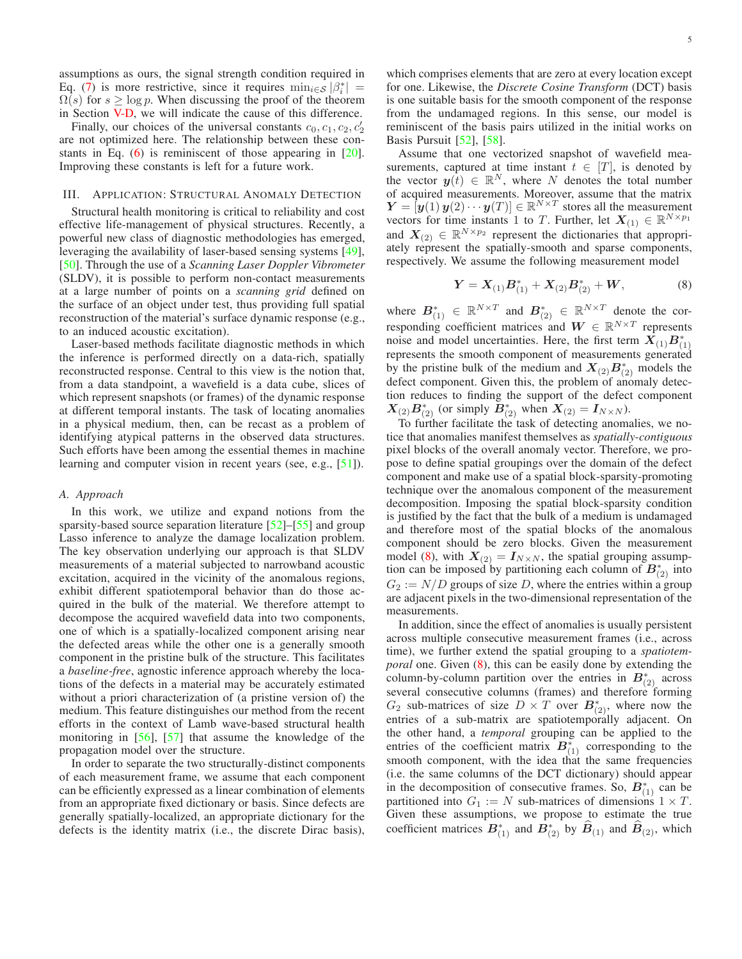assumptions as ours, the signal strength condition required in Eq. [\(7\)](#page-3-1) is more restrictive, since it requires  $\min_{i \in S} |\beta_i^*| =$  $\Omega(s)$  for  $s \ge \log p$ . When discussing the proof of the theorem in Section [V-D,](#page-9-0) we will indicate the cause of this difference.

Finally, our choices of the universal constants  $c_0, c_1, c_2, c'_2$ are not optimized here. The relationship between these constants in Eq.  $(6)$  is reminiscent of those appearing in  $[20]$ . Improving these constants is left for a future work.

# <span id="page-4-0"></span>III. APPLICATION: STRUCTURAL ANOMALY DETECTION

Structural health monitoring is critical to reliability and cost effective life-management of physical structures. Recently, a powerful new class of diagnostic methodologies has emerged, leveraging the availability of laser-based sensing systems [\[49\]](#page-16-18), [\[50\]](#page-16-19). Through the use of a *Scanning Laser Doppler Vibrometer* (SLDV), it is possible to perform non-contact measurements at a large number of points on a *scanning grid* defined on the surface of an object under test, thus providing full spatial reconstruction of the material's surface dynamic response (e.g., to an induced acoustic excitation).

Laser-based methods facilitate diagnostic methods in which the inference is performed directly on a data-rich, spatially reconstructed response. Central to this view is the notion that, from a data standpoint, a wavefield is a data cube, slices of which represent snapshots (or frames) of the dynamic response at different temporal instants. The task of locating anomalies in a physical medium, then, can be recast as a problem of identifying atypical patterns in the observed data structures. Such efforts have been among the essential themes in machine learning and computer vision in recent years (see, e.g., [\[51\]](#page-16-20)).

#### *A. Approach*

In this work, we utilize and expand notions from the sparsity-based source separation literature [\[52\]](#page-16-21)–[\[55\]](#page-16-22) and group Lasso inference to analyze the damage localization problem. The key observation underlying our approach is that SLDV measurements of a material subjected to narrowband acoustic excitation, acquired in the vicinity of the anomalous regions, exhibit different spatiotemporal behavior than do those acquired in the bulk of the material. We therefore attempt to decompose the acquired wavefield data into two components, one of which is a spatially-localized component arising near the defected areas while the other one is a generally smooth component in the pristine bulk of the structure. This facilitates a *baseline-free*, agnostic inference approach whereby the locations of the defects in a material may be accurately estimated without a priori characterization of (a pristine version of) the medium. This feature distinguishes our method from the recent efforts in the context of Lamb wave-based structural health monitoring in [\[56\]](#page-16-23), [\[57\]](#page-16-24) that assume the knowledge of the propagation model over the structure.

In order to separate the two structurally-distinct components of each measurement frame, we assume that each component can be efficiently expressed as a linear combination of elements from an appropriate fixed dictionary or basis. Since defects are generally spatially-localized, an appropriate dictionary for the defects is the identity matrix (i.e., the discrete Dirac basis),

which comprises elements that are zero at every location except for one. Likewise, the *Discrete Cosine Transform* (DCT) basis is one suitable basis for the smooth component of the response from the undamaged regions. In this sense, our model is reminiscent of the basis pairs utilized in the initial works on Basis Pursuit [\[52\]](#page-16-21), [\[58\]](#page-16-25).

Assume that one vectorized snapshot of wavefield measurements, captured at time instant  $t \in [T]$ , is denoted by the vector  $y(t) \in \mathbb{R}^N$ , where N denotes the total number of acquired measurements. Moreover, assume that the matrix  $\mathbf{Y} = [\mathbf{y}(1) \ \mathbf{y}(2) \cdots \mathbf{y}(T)] \in \mathbb{R}^{N \times T}$  stores all the measurement vectors for time instants 1 to T. Further, let  $X_{(1)} \in \mathbb{R}^{N \times p_1}$ and  $X_{(2)} \in \mathbb{R}^{N \times p_2}$  represent the dictionaries that appropriately represent the spatially-smooth and sparse components, respectively. We assume the following measurement model

<span id="page-4-1"></span>
$$
Y = X_{(1)}B_{(1)}^* + X_{(2)}B_{(2)}^* + W, \tag{8}
$$

where  $B^*_{(1)} \in \mathbb{R}^{N \times T}$  and  $B^*_{(2)} \in \mathbb{R}^{N \times T}$  denote the corresponding coefficient matrices and  $W \in \mathbb{R}^{N \times T}$  represents noise and model uncertainties. Here, the first term  $X_{(1)}B_{(1)}^*$ represents the smooth component of measurements generated by the pristine bulk of the medium and  $X_{(2)}B_{(2)}^*$  models the defect component. Given this, the problem of anomaly detection reduces to finding the support of the defect component  $\bm{X}_{(2)}\bm{B}_{(2)}^*$  (or simply  $\bm{B}_{(2)}^*$  when  $\bm{X}_{(2)} = \bm{I}_{N \times N}$ ).

To further facilitate the task of detecting anomalies, we notice that anomalies manifest themselves as *spatially-contiguous* pixel blocks of the overall anomaly vector. Therefore, we propose to define spatial groupings over the domain of the defect component and make use of a spatial block-sparsity-promoting technique over the anomalous component of the measurement decomposition. Imposing the spatial block-sparsity condition is justified by the fact that the bulk of a medium is undamaged and therefore most of the spatial blocks of the anomalous component should be zero blocks. Given the measurement model [\(8\)](#page-4-1), with  $X_{(2)} = I_{N \times N}$ , the spatial grouping assumption can be imposed by partitioning each column of  $B_{(2)}^*$  into  $G_2 := N/D$  groups of size D, where the entries within a group are adjacent pixels in the two-dimensional representation of the measurements.

In addition, since the effect of anomalies is usually persistent across multiple consecutive measurement frames (i.e., across time), we further extend the spatial grouping to a *spatiotemporal* one. Given [\(8\)](#page-4-1), this can be easily done by extending the column-by-column partition over the entries in  $B^*_{(2)}$  across several consecutive columns (frames) and therefore forming  $G_2$  sub-matrices of size  $D \times T$  over  $B^*_{(2)}$ , where now the entries of a sub-matrix are spatiotemporally adjacent. On the other hand, a *temporal* grouping can be applied to the entries of the coefficient matrix  $B_{(1)}^*$  corresponding to the smooth component, with the idea that the same frequencies (i.e. the same columns of the DCT dictionary) should appear in the decomposition of consecutive frames. So,  $B_{(1)}^*$  can be partitioned into  $G_1 := N$  sub-matrices of dimensions  $1 \times T$ . Given these assumptions, we propose to estimate the true coefficient matrices  $B^*_{(1)}$  and  $B^*_{(2)}$  by  $B_{(1)}$  and  $B_{(2)}$ , which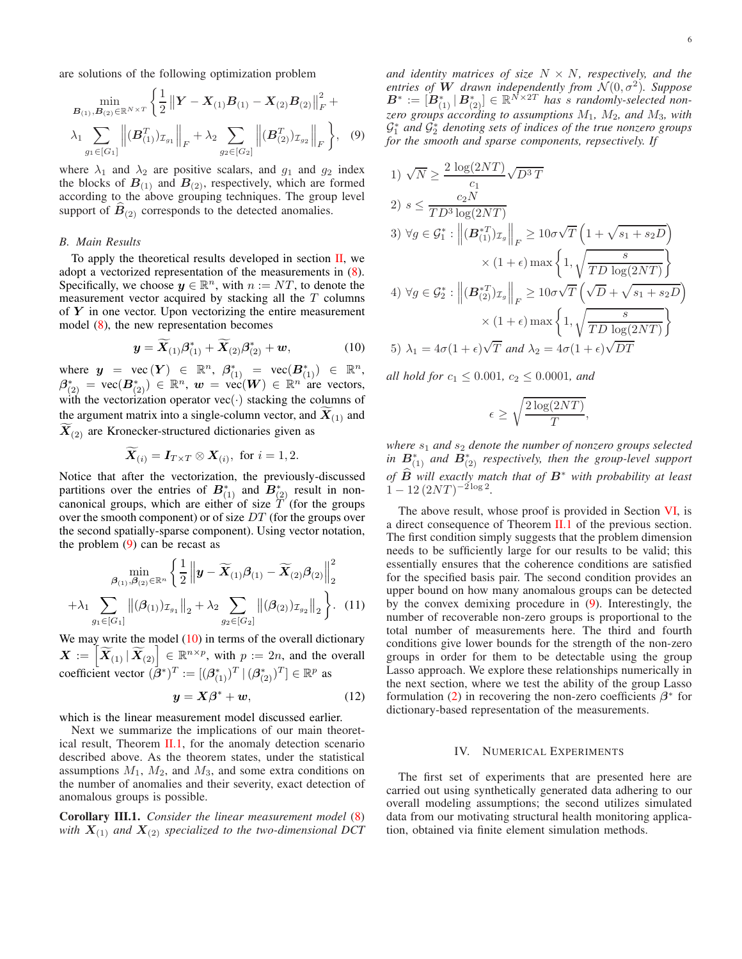$$
\min_{\mathbf{B}_{(1)}, \mathbf{B}_{(2)} \in \mathbb{R}^{N \times T}} \left\{ \frac{1}{2} \left\| \mathbf{Y} - \mathbf{X}_{(1)} \mathbf{B}_{(1)} - \mathbf{X}_{(2)} \mathbf{B}_{(2)} \right\|_{F}^{2} + \lambda_{1} \sum_{g_{1} \in [G_{1}]} \left\| (\mathbf{B}_{(1)}^{T}) \mathbf{I}_{g_{1}} \right\|_{F} + \lambda_{2} \sum_{g_{2} \in [G_{2}]} \left\| (\mathbf{B}_{(2)}^{T}) \mathbf{I}_{g_{2}} \right\|_{F} \right\}, \quad (9)
$$

where  $\lambda_1$  and  $\lambda_2$  are positive scalars, and  $g_1$  and  $g_2$  index the blocks of  $B_{(1)}$  and  $B_{(2)}$ , respectively, which are formed according to the above grouping techniques. The group level support of  $B_{(2)}$  corresponds to the detected anomalies.

# *B. Main Results*

To apply the theoretical results developed in section  $II$ , we adopt a vectorized representation of the measurements in [\(8\)](#page-4-1). Specifically, we choose  $y \in \mathbb{R}^n$ , with  $n := NT$ , to denote the measurement vector acquired by stacking all the  $T$  columns of  $Y$  in one vector. Upon vectorizing the entire measurement model [\(8\)](#page-4-1), the new representation becomes

<span id="page-5-2"></span>
$$
\mathbf{y} = \mathbf{X}_{(1)}\boldsymbol{\beta}_{(1)}^* + \mathbf{X}_{(2)}\boldsymbol{\beta}_{(2)}^* + \mathbf{w},\tag{10}
$$

where  $y = \text{vec}(\bm{Y}) \in \mathbb{R}^n$ ,  $\beta_{(1)}^* = \text{vec}(\bm{B}_{(1)}^*) \in \mathbb{R}^n$ ,  $\beta^*_{(2)} = \text{vec}(\boldsymbol{B}^*_{(2)}) \in \mathbb{R}^n$ ,  $\boldsymbol{w} = \text{vec}(\boldsymbol{W}) \in \mathbb{R}^n$  are vectors, with the vectorization operator vec $(\cdot)$  stacking the columns of the argument matrix into a single-column vector, and  $X_{(1)}$  and  $X_{(2)}$  are Kronecker-structured dictionaries given as

$$
\overline{\bm{X}}_{(i)} = \bm{I}_{T \times T} \otimes \bm{X}_{(i)}, \,\, \text{for} \,\, i = 1,2.
$$

Notice that after the vectorization, the previously-discussed partitions over the entries of  $B^*_{(1)}$  and  $B^*_{(2)}$  result in noncanonical groups, which are either of size  $T$  (for the groups over the smooth component) or of size  $DT$  (for the groups over the second spatially-sparse component). Using vector notation, the problem  $(9)$  can be recast as

$$
\min_{\beta_{(1)},\beta_{(2)} \in \mathbb{R}^n} \left\{ \frac{1}{2} \left\| \mathbf{y} - \widetilde{\mathbf{X}}_{(1)} \beta_{(1)} - \widetilde{\mathbf{X}}_{(2)} \beta_{(2)} \right\|_2^2 + \lambda_1 \sum_{g_1 \in [G_1]} \left\| (\beta_{(1)})_{\mathcal{I}_{g_1}} \right\|_2 + \lambda_2 \sum_{g_2 \in [G_2]} \left\| (\beta_{(2)})_{\mathcal{I}_{g_2}} \right\|_2 \right\}.
$$
 (11)

We may write the model  $(10)$  in terms of the overall dictionary  $\boldsymbol{X} := \left[ \widetilde{\boldsymbol{X}}_{(1)} \, | \, \widetilde{\boldsymbol{X}}_{(2)} \right] \in \mathbb{R}^{n \times p}$ , with  $p := 2n$ , and the overall coefficient vector  $(\vec{\beta}^*)^T := [(\beta^*_{(1)})^T \mid (\beta^*_{(2)})^T] \in \mathbb{R}^p$  as

$$
y = X\beta^* + w,\tag{12}
$$

which is the linear measurement model discussed earlier.

Next we summarize the implications of our main theoretical result, Theorem  $II.1$ , for the anomaly detection scenario described above. As the theorem states, under the statistical assumptions  $M_1$ ,  $M_2$ , and  $M_3$ , and some extra conditions on the number of anomalies and their severity, exact detection of anomalous groups is possible.

<span id="page-5-3"></span>Corollary III.1. *Consider the linear measurement model* [\(8\)](#page-4-1) *with*  $X_{(1)}$  *and*  $X_{(2)}$  *specialized to the two-dimensional DCT* 

*and identity matrices of size*  $N \times N$ *, respectively, and the entries of* W *drawn independently from*  $\mathcal{N}(0, \sigma^2)$ *. Suppose*  $\boldsymbol{B}^* := [\boldsymbol{B}^*_{(1)}\,|\, \boldsymbol{B}^*_{(2)}] \in \mathbb{R}^{N \times 2T}$  has *s* randomly-selected non*zero groups according to assumptions* M1*,* M2*, and* M3*, with* G ∗ 1 *and* G ∗ 2 *denoting sets of indices of the true nonzero groups for the smooth and sparse components, repsectively. If*

<span id="page-5-1"></span>1) 
$$
\sqrt{N} \ge \frac{2 \log(2NT)}{c_1} \sqrt{D^3 T}
$$
  
\n2)  $s \le \frac{c_2 N}{TD^3 \log(2NT)}$   
\n3)  $\forall g \in \mathcal{G}_1^* : \left\| (\mathbf{B}_{(1)}^{*T}) \mathbf{I}_{g} \right\|_F \ge 10 \sigma \sqrt{T} \left( 1 + \sqrt{s_1 + s_2 D} \right)$   
\n $\times (1 + \epsilon) \max \left\{ 1, \sqrt{\frac{s}{TD \log(2NT)}} \right\}$   
\n4)  $\forall g \in \mathcal{G}_2^* : \left\| (\mathbf{B}_{(2)}^{*T}) \mathbf{I}_{g} \right\|_F \ge 10 \sigma \sqrt{T} \left( \sqrt{D} + \sqrt{s_1 + s_2 D} \right)$   
\n $\times (1 + \epsilon) \max \left\{ 1, \sqrt{\frac{s}{TD \log(2NT)}} \right\}$   
\n5)  $\lambda_1 = 4\sigma (1 + \epsilon) \sqrt{T} \text{ and } \lambda_2 = 4\sigma (1 + \epsilon) \sqrt{DT}$ 

*all hold for*  $c_1 \leq 0.001$ ,  $c_2 \leq 0.0001$ , and

$$
\epsilon \geq \sqrt{\frac{2\log(2NT)}{T}},
$$

*where*  $s_1$  *and*  $s_2$  *denote the number of nonzero groups selected* in  $B^*_{(1)}$  and  $B^*_{(2)}$  respectively, then the group-level support *of* Bb *will exactly match that of* B<sup>∗</sup> *with probability at least*  $1 - 12 (2NT)^{-2 \log 2}.$ 

<span id="page-5-4"></span>The above result, whose proof is provided in Section [VI,](#page-11-0) is a direct consequence of Theorem [II.1](#page-3-0) of the previous section. The first condition simply suggests that the problem dimension needs to be sufficiently large for our results to be valid; this essentially ensures that the coherence conditions are satisfied for the specified basis pair. The second condition provides an upper bound on how many anomalous groups can be detected by the convex demixing procedure in [\(9\)](#page-5-1). Interestingly, the number of recoverable non-zero groups is proportional to the total number of measurements here. The third and fourth conditions give lower bounds for the strength of the non-zero groups in order for them to be detectable using the group Lasso approach. We explore these relationships numerically in the next section, where we test the ability of the group Lasso formulation [\(2\)](#page-0-1) in recovering the non-zero coefficients  $\beta^*$  for dictionary-based representation of the measurements.

# IV. NUMERICAL EXPERIMENTS

<span id="page-5-0"></span>The first set of experiments that are presented here are carried out using synthetically generated data adhering to our overall modeling assumptions; the second utilizes simulated data from our motivating structural health monitoring application, obtained via finite element simulation methods.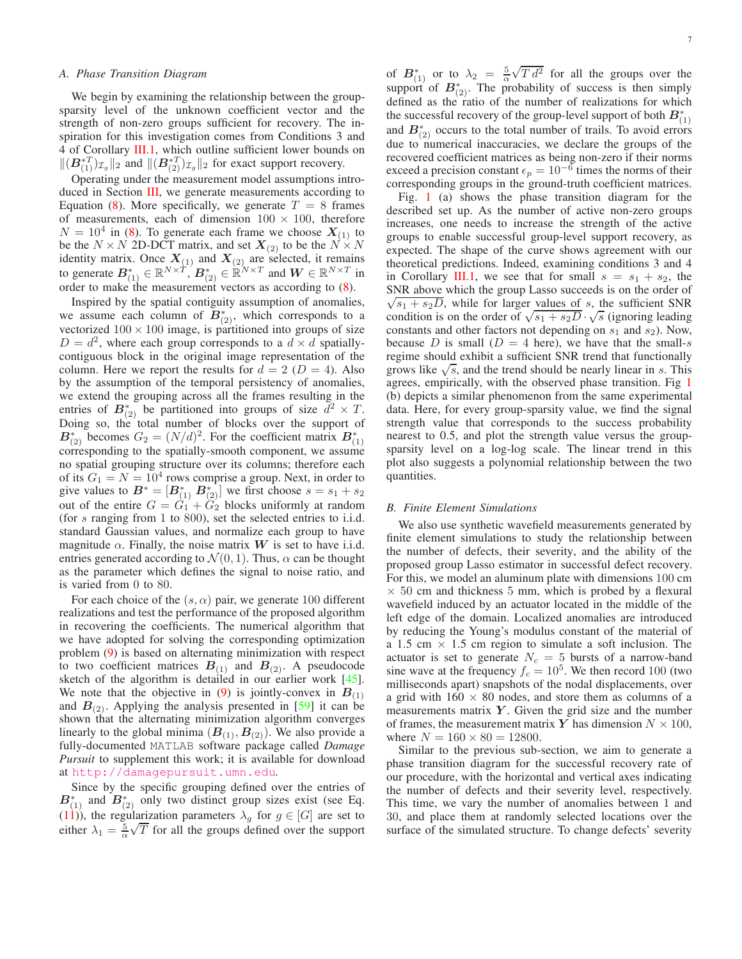# *A. Phase Transition Diagram*

We begin by examining the relationship between the groupsparsity level of the unknown coefficient vector and the strength of non-zero groups sufficient for recovery. The inspiration for this investigation comes from Conditions 3 and 4 of Corollary [III.1,](#page-5-3) which outline sufficient lower bounds on  $||(B_{(1)}^{*T})_{\mathcal{I}_g}||_2$  and  $||(B_{(2)}^{*T})_{\mathcal{I}_g}||_2$  for exact support recovery.

Operating under the measurement model assumptions intro-duced in Section [III,](#page-4-0) we generate measurements according to Equation [\(8\)](#page-4-1). More specifically, we generate  $T = 8$  frames of measurements, each of dimension  $100 \times 100$ , therefore  $N = 10^4$  in [\(8\)](#page-4-1). To generate each frame we choose  $X_{(1)}$  to be the  $N \times N$  2D-DCT matrix, and set  $X_{(2)}$  to be the  $N \times N$ identity matrix. Once  $X_{(1)}$  and  $X_{(2)}$  are selected, it remains to generate  $B_{(1)}^* \in \mathbb{R}^{N \times T}$ ,  $B_{(2)}^* \in \mathbb{R}^{N \times T}$  and  $W \in \mathbb{R}^{N \times T}$  in order to make the measurement vectors as according to  $(8)$ .

Inspired by the spatial contiguity assumption of anomalies, we assume each column of  $B^*_{(2)}$ , which corresponds to a vectorized  $100 \times 100$  image, is partitioned into groups of size  $D = d^2$ , where each group corresponds to a  $d \times d$  spatiallycontiguous block in the original image representation of the column. Here we report the results for  $d = 2$  ( $D = 4$ ). Also by the assumption of the temporal persistency of anomalies, we extend the grouping across all the frames resulting in the entries of  $B^*_{(2)}$  be partitioned into groups of size  $d^2 \times T$ . Doing so, the total number of blocks over the support of  $\mathbf{B}_{(2)}^*$  becomes  $G_2 = (N/d)^2$ . For the coefficient matrix  $\mathbf{B}_{(1)}^*$ corresponding to the spatially-smooth component, we assume no spatial grouping structure over its columns; therefore each of its  $G_1 = N = 10^4$  rows comprise a group. Next, in order to give values to  $B^* = [B^*_{(1)} \ B^*_{(2)}]$  we first choose  $s = s_1 + s_2$ out of the entire  $G = G_1 + G_2$  blocks uniformly at random (for s ranging from 1 to 800), set the selected entries to i.i.d. standard Gaussian values, and normalize each group to have magnitude  $\alpha$ . Finally, the noise matrix W is set to have i.i.d. entries generated according to  $\mathcal{N}(0, 1)$ . Thus,  $\alpha$  can be thought as the parameter which defines the signal to noise ratio, and is varied from 0 to 80.

For each choice of the  $(s, \alpha)$  pair, we generate 100 different realizations and test the performance of the proposed algorithm in recovering the coefficients. The numerical algorithm that we have adopted for solving the corresponding optimization problem [\(9\)](#page-5-1) is based on alternating minimization with respect to two coefficient matrices  $B_{(1)}$  and  $B_{(2)}$ . A pseudocode sketch of the algorithm is detailed in our earlier work [\[45\]](#page-16-14). We note that the objective in [\(9\)](#page-5-1) is jointly-convex in  $B_{(1)}$ and  $B_{(2)}$ . Applying the analysis presented in [\[59\]](#page-16-26) it can be shown that the alternating minimization algorithm converges linearly to the global minima  $(B_{(1)}, B_{(2)})$ . We also provide a fully-documented MATLAB software package called *Damage Pursuit* to supplement this work; it is available for download at <http://damagepursuit.umn.edu>.

Since by the specific grouping defined over the entries of  $B_{(1)}^*$  and  $B_{(2)}^*$  only two distinct group sizes exist (see Eq. [\(11\)](#page-5-4)), the regularization parameters  $\lambda_g$  for  $g \in [G]$  are set to either  $\lambda_1 = \frac{5}{\alpha}$  $\sqrt{T}$  for all the groups defined over the support

of  $\bm{B}_{(1)}^*$  or to  $\lambda_2 = \frac{5}{\alpha}$  $\sqrt{T d^2}$  for all the groups over the support of  $B^*_{(2)}$ . The probability of success is then simply defined as the ratio of the number of realizations for which the successful recovery of the group-level support of both  $\boldsymbol{B}^*_{(1)}$ and  $B_{(2)}^*$  occurs to the total number of trails. To avoid errors due to numerical inaccuracies, we declare the groups of the recovered coefficient matrices as being non-zero if their norms exceed a precision constant  $\epsilon_p = 10^{-6}$  times the norms of their corresponding groups in the ground-truth coefficient matrices.

Fig. [1](#page-7-2) (a) shows the phase transition diagram for the described set up. As the number of active non-zero groups increases, one needs to increase the strength of the active groups to enable successful group-level support recovery, as expected. The shape of the curve shows agreement with our theoretical predictions. Indeed, examining conditions 3 and 4 in Corollary [III.1,](#page-5-3) we see that for small  $s = s_1 + s_2$ , the SNR above which the group Lasso succeeds is on the order of  $\sqrt{s_1 + s_2 D}$ , while for larger values of s, the sufficient SNR condition is on the order of  $\sqrt{s_1 + s_2 D} \cdot \sqrt{s}$  (ignoring leading constants and other factors not depending on  $s_1$  and  $s_2$ ). Now, because D is small ( $D = 4$  here), we have that the small-s regime should exhibit a sufficient SNR trend that functionally grows like  $\sqrt{s}$ , and the trend should be nearly linear in s. This agrees, empirically, with the observed phase transition. Fig [1](#page-7-2) (b) depicts a similar phenomenon from the same experimental data. Here, for every group-sparsity value, we find the signal strength value that corresponds to the success probability nearest to 0.5, and plot the strength value versus the groupsparsity level on a log-log scale. The linear trend in this plot also suggests a polynomial relationship between the two quantities.

# *B. Finite Element Simulations*

We also use synthetic wavefield measurements generated by finite element simulations to study the relationship between the number of defects, their severity, and the ability of the proposed group Lasso estimator in successful defect recovery. For this, we model an aluminum plate with dimensions 100 cm  $\times$  50 cm and thickness 5 mm, which is probed by a flexural wavefield induced by an actuator located in the middle of the left edge of the domain. Localized anomalies are introduced by reducing the Young's modulus constant of the material of a 1.5 cm  $\times$  1.5 cm region to simulate a soft inclusion. The actuator is set to generate  $N_c = 5$  bursts of a narrow-band sine wave at the frequency  $f_c = 10^5$ . We then record 100 (two milliseconds apart) snapshots of the nodal displacements, over a grid with  $160 \times 80$  nodes, and store them as columns of a measurements matrix  $Y$ . Given the grid size and the number of frames, the measurement matrix Y has dimension  $N \times 100$ , where  $N = 160 \times 80 = 12800$ .

Similar to the previous sub-section, we aim to generate a phase transition diagram for the successful recovery rate of our procedure, with the horizontal and vertical axes indicating the number of defects and their severity level, respectively. This time, we vary the number of anomalies between 1 and 30, and place them at randomly selected locations over the surface of the simulated structure. To change defects' severity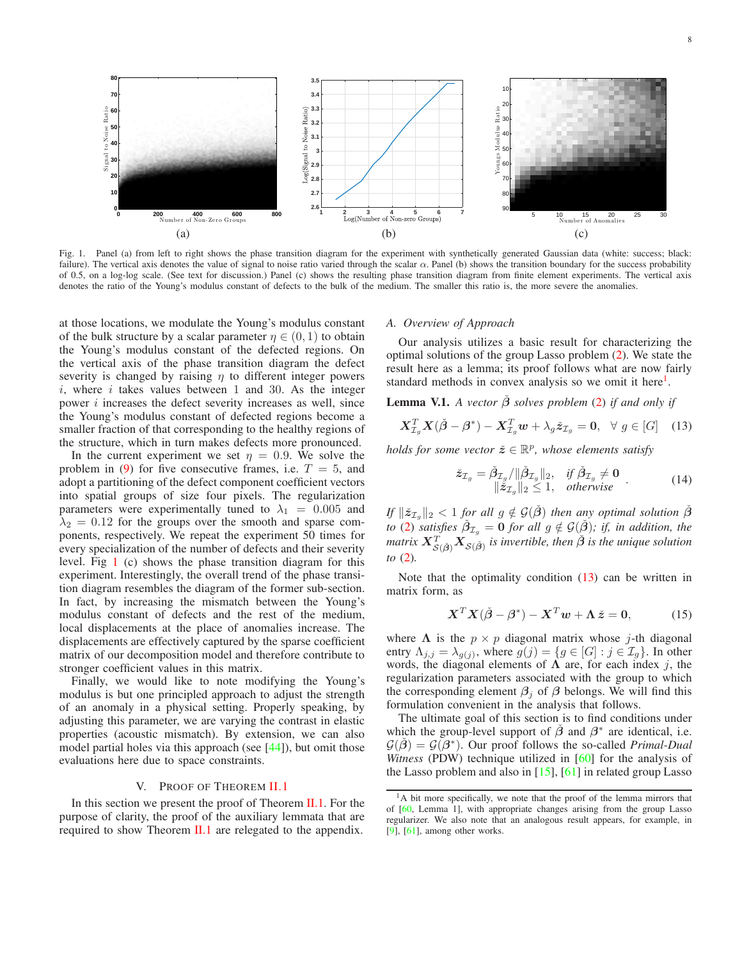

<span id="page-7-2"></span>Fig. 1. Panel (a) from left to right shows the phase transition diagram for the experiment with synthetically generated Gaussian data (white: success; black: failure). The vertical axis denotes the value of signal to noise ratio varied through the scalar  $\alpha$ . Panel (b) shows the transition boundary for the success probability of 0.5, on a log-log scale. (See text for discussion.) Panel (c) shows the resulting phase transition diagram from finite element experiments. The vertical axis denotes the ratio of the Young's modulus constant of defects to the bulk of the medium. The smaller this ratio is, the more severe the anomalies.

at those locations, we modulate the Young's modulus constant of the bulk structure by a scalar parameter  $\eta \in (0, 1)$  to obtain the Young's modulus constant of the defected regions. On the vertical axis of the phase transition diagram the defect severity is changed by raising  $\eta$  to different integer powers i, where i takes values between 1 and 30. As the integer power i increases the defect severity increases as well, since the Young's modulus constant of defected regions become a smaller fraction of that corresponding to the healthy regions of the structure, which in turn makes defects more pronounced.

In the current experiment we set  $\eta = 0.9$ . We solve the problem in [\(9\)](#page-5-1) for five consecutive frames, i.e.  $T = 5$ , and adopt a partitioning of the defect component coefficient vectors into spatial groups of size four pixels. The regularization parameters were experimentally tuned to  $\lambda_1 = 0.005$  and  $\lambda_2 = 0.12$  for the groups over the smooth and sparse components, respectively. We repeat the experiment 50 times for every specialization of the number of defects and their severity level. Fig [1](#page-7-2) (c) shows the phase transition diagram for this experiment. Interestingly, the overall trend of the phase transition diagram resembles the diagram of the former sub-section. In fact, by increasing the mismatch between the Young's modulus constant of defects and the rest of the medium, local displacements at the place of anomalies increase. The displacements are effectively captured by the sparse coefficient matrix of our decomposition model and therefore contribute to stronger coefficient values in this matrix.

Finally, we would like to note modifying the Young's modulus is but one principled approach to adjust the strength of an anomaly in a physical setting. Properly speaking, by adjusting this parameter, we are varying the contrast in elastic properties (acoustic mismatch). By extension, we can also model partial holes via this approach (see  $[44]$ ), but omit those evaluations here due to space constraints.

# V. PROOF OF THEOREM [II.1](#page-3-0)

<span id="page-7-0"></span>In this section we present the proof of Theorem [II.1.](#page-3-0) For the purpose of clarity, the proof of the auxiliary lemmata that are required to show Theorem [II.1](#page-3-0) are relegated to the appendix.

#### *A. Overview of Approach*

Our analysis utilizes a basic result for characterizing the optimal solutions of the group Lasso problem [\(2\)](#page-0-1). We state the result here as a lemma; its proof follows what are now fairly standard methods in convex analysis so we omit it here<sup>[1](#page-7-3)</sup>.

<span id="page-7-1"></span>**Lemma V.1.** *A vector*  $\hat{B}$  *solves problem* [\(2\)](#page-0-1) *if and only if* 

<span id="page-7-4"></span>
$$
\boldsymbol{X}_{\mathcal{I}_g}^T \boldsymbol{X} (\check{\boldsymbol{\beta}} - \boldsymbol{\beta}^*) - \boldsymbol{X}_{\mathcal{I}_g}^T \boldsymbol{w} + \lambda_g \check{z}_{\mathcal{I}_g} = \boldsymbol{0}, \ \ \forall \ g \in [G] \quad (13)
$$

*holds for some vector*  $\check{z} \in \mathbb{R}^p$ , whose elements satisfy

<span id="page-7-5"></span>
$$
\check{z}_{\mathcal{I}_g} = \check{\beta}_{\mathcal{I}_g} / ||\check{\beta}_{\mathcal{I}_g}||_2, \quad \text{if } \check{\beta}_{\mathcal{I}_g} \neq \mathbf{0} ||\check{z}_{\mathcal{I}_g}||_2 \leq 1, \quad \text{otherwise}
$$
\n(14)

*If*  $\|\tilde{\mathbf{z}}_{\mathcal{I}_q}\|_2 < 1$  *for all*  $g \notin \mathcal{G}(\tilde{\beta})$  *then any optimal solution*  $\tilde{\beta}$ *to* [\(2\)](#page-0-1) *satisfies*  $\check{\beta}_{\mathcal{I}_g} = 0$  *for all*  $g \notin \mathcal{G}(\check{\beta})$ *; if, in addition, the matrix*  $X_{\mathcal{S}(\check{\beta})}^T X_{\mathcal{S}(\check{\beta})}$  *is invertible, then*  $\check{\beta}$  *is the unique solution to* [\(2\)](#page-0-1)*.*

Note that the optimality condition [\(13\)](#page-7-4) can be written in matrix form, as

$$
\mathbf{X}^T \mathbf{X} (\check{\boldsymbol{\beta}} - \boldsymbol{\beta}^*) - \mathbf{X}^T \mathbf{w} + \mathbf{\Lambda} \check{\boldsymbol{z}} = \mathbf{0}, \tag{15}
$$

where  $\Lambda$  is the  $p \times p$  diagonal matrix whose j-th diagonal entry  $\Lambda_{j,j} = \lambda_{g(j)}$ , where  $g(j) = \{g \in [G] : j \in \mathcal{I}_g\}$ . In other words, the diagonal elements of  $\Lambda$  are, for each index j, the regularization parameters associated with the group to which the corresponding element  $\beta_i$  of  $\beta$  belongs. We will find this formulation convenient in the analysis that follows.

The ultimate goal of this section is to find conditions under which the group-level support of  $\check{\beta}$  and  $\beta^*$  are identical, i.e.  $G(\check{\beta}) = G(\check{\beta}^*)$ . Our proof follows the so-called *Primal-Dual Witness* (PDW) technique utilized in [\[60\]](#page-16-27) for the analysis of the Lasso problem and also in [\[15\]](#page-15-11), [\[61\]](#page-16-28) in related group Lasso

<span id="page-7-3"></span><sup>&</sup>lt;sup>1</sup>A bit more specifically, we note that the proof of the lemma mirrors that of [\[60,](#page-16-27) Lemma 1], with appropriate changes arising from the group Lasso regularizer. We also note that an analogous result appears, for example, in [\[9\]](#page-15-6), [\[61\]](#page-16-28), among other works.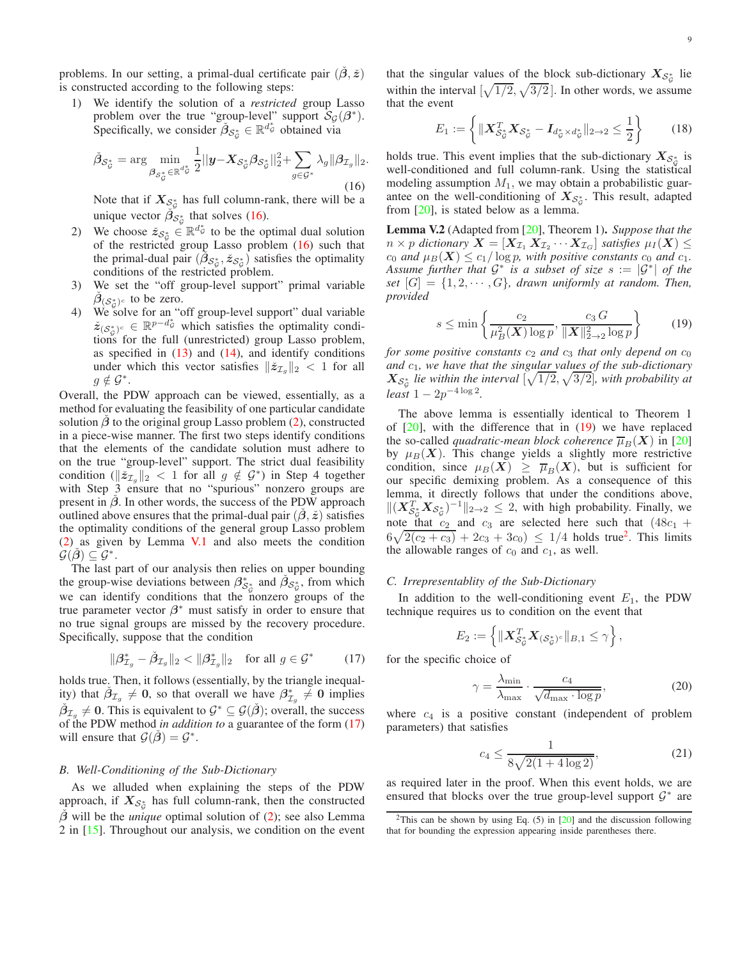problems. In our setting, a primal-dual certificate pair  $(\check{\beta}, \check{z})$ is constructed according to the following steps:

1) We identify the solution of a *restricted* group Lasso problem over the true "group-level" support  $\mathcal{S}_{\mathcal{G}}(\beta^*)$ . Specifically, we consider  $\check{\beta}_{\mathcal{S}_{\mathcal{G}}^*} \in \mathbb{R}^{d_{\mathcal{G}}^*}$  obtained via

<span id="page-8-0"></span>
$$
\check{\beta}_{\mathcal{S}_{\mathcal{G}}^*} = \arg \min_{\substack{\beta_{\mathcal{S}_{\mathcal{G}}^*} \in \mathbb{R}^{d_{\mathcal{G}}^*} \\ \beta \in \mathcal{G}^*}} \frac{1}{2} ||\mathbf{y} - \mathbf{X}_{\mathcal{S}_{\mathcal{G}}^*} \beta_{\mathcal{S}_{\mathcal{G}}^*} ||_2^2 + \sum_{g \in \mathcal{G}^*} \lambda_g ||\beta_{\mathcal{I}_g}||_2. \tag{16}
$$

Note that if  $X_{\mathcal{S}_{\mathcal{G}}^*}$  has full column-rank, there will be a unique vector  $\check{\beta}_{\mathcal{S}_{\mathcal{G}}^*}$  that solves [\(16\)](#page-8-0).

- 2) We choose  $\dot{z}_{\mathcal{S}_{\mathcal{G}}^*} \in \mathbb{R}^{d_{\mathcal{G}}^*}$  to be the optimal dual solution of the restricted group Lasso problem  $(16)$  such that the primal-dual pair  $(\tilde{\beta}_{\mathcal{S}_{\mathcal{G}}^*}, \tilde{z}_{\mathcal{S}_{\mathcal{G}}^*})$  satisfies the optimality conditions of the restricted problem.
- 3) We set the "off group-level support" primal variable  $\check{\beta}_{(\mathcal{S}_{\mathcal{G}}^*)^c}$  to be zero.
- 4) We solve for an "off group-level support" dual variable  $\check{z}_{(S_{\mathcal{G}}^*)^c} \in \mathbb{R}^{p-d_{\mathcal{G}}^*}$  which satisfies the optimality conditions for the full (unrestricted) group Lasso problem, as specified in  $(13)$  and  $(14)$ , and identify conditions under which this vector satisfies  $\|\zeta_{\mathcal{I}_{q}}\|_{2} < 1$  for all  $g \notin \mathcal{G}^*$ .

Overall, the PDW approach can be viewed, essentially, as a method for evaluating the feasibility of one particular candidate solution  $\beta$  to the original group Lasso problem [\(2\)](#page-0-1), constructed in a piece-wise manner. The first two steps identify conditions that the elements of the candidate solution must adhere to on the true "group-level" support. The strict dual feasibility condition ( $\|\tilde{z}_{\mathcal{I}_g}\|_2 < 1$  for all  $g \notin \mathcal{G}^*$ ) in Step 4 together with Step 3 ensure that no "spurious" nonzero groups are present in  $\beta$ . In other words, the success of the PDW approach outlined above ensures that the primal-dual pair  $(\beta, \check{z})$  satisfies the optimality conditions of the general group Lasso problem [\(2\)](#page-0-1) as given by Lemma [V.1](#page-7-1) and also meets the condition  $G(\check{\boldsymbol{\beta}})\subseteq \mathcal{G}^*.$ 

The last part of our analysis then relies on upper bounding the group-wise deviations between  $\beta_{\mathcal{S}_{\mathcal{G}}^*}^*$  and  $\beta_{\mathcal{S}_{\mathcal{G}}^*}$ , from which we can identify conditions that the nonzero groups of the true parameter vector  $\beta^*$  must satisfy in order to ensure that no true signal groups are missed by the recovery procedure. Specifically, suppose that the condition

<span id="page-8-1"></span>
$$
\|\beta^*_{\mathcal{I}_g} - \check{\beta}_{\mathcal{I}_g}\|_2 < \|\beta^*_{\mathcal{I}_g}\|_2 \quad \text{for all } g \in \mathcal{G}^* \tag{17}
$$

holds true. Then, it follows (essentially, by the triangle inequality) that  $\beta_{\mathcal{I}_g} \neq 0$ , so that overall we have  $\beta_{\mathcal{I}_g}^* \neq 0$  implies  $\tilde{\beta}_{\mathcal{I}_g} \neq 0$ . This is equivalent to  $\mathcal{G}^* \subseteq \mathcal{G}(\tilde{\beta})$ ; overall, the success of the PDW method *in addition to* a guarantee of the form [\(17\)](#page-8-1) will ensure that  $G(\check{\beta}) = \mathcal{G}^*$ .

#### *B. Well-Conditioning of the Sub-Dictionary*

As we alluded when explaining the steps of the PDW approach, if  $X_{\mathcal{S}_{\mathcal{G}}^*}$  has full column-rank, then the constructed  $\beta$  will be the *unique* optimal solution of [\(2\)](#page-0-1); see also Lemma 2 in [\[15\]](#page-15-11). Throughout our analysis, we condition on the event

that the singular values of the block sub-dictionary  $X_{\mathcal{S}_{\mathcal{G}}^*}$  lie within the interval  $\left[\sqrt{1/2}, \sqrt{3/2}\right]$ . In other words, we assume that the event

$$
E_1 := \left\{ \| \mathbf{X}_{\mathcal{S}_{\mathcal{G}}^*}^T \mathbf{X}_{\mathcal{S}_{\mathcal{G}}^*} - \mathbf{I}_{d_{\mathcal{G}}^* \times d_{\mathcal{G}}^*} \|_{2 \to 2} \le \frac{1}{2} \right\} \tag{18}
$$

holds true. This event implies that the sub-dictionary  $X_{\mathcal{S}_{\mathcal{G}}^*}$  is well-conditioned and full column-rank. Using the statistical modeling assumption  $M_1$ , we may obtain a probabilistic guarantee on the well-conditioning of  $X_{\mathcal{S}_{\mathcal{G}}^*}$ . This result, adapted from [\[20\]](#page-15-9), is stated below as a lemma.

<span id="page-8-5"></span>Lemma V.2 (Adapted from [\[20\]](#page-15-9), Theorem 1). *Suppose that the*  $n \times p$  dictionary  $X = [X_{\mathcal{I}_1} \ X_{\mathcal{I}_2} \cdots X_{\mathcal{I}_G}]$  satisfies  $\mu_I(X) \leq$  $c_0$  *and*  $\mu_B(\mathbf{X}) \leq c_1/\log p$ , with positive constants  $c_0$  *and*  $c_1$ *. Assume further that*  $G^*$  *is a subset of size*  $s := |G^*|$  *of the set*  $|G| = \{1, 2, \dots, G\}$ , drawn uniformly at random. Then, *provided*

<span id="page-8-2"></span>
$$
s \le \min\left\{\frac{c_2}{\mu_B^2(\mathbf{X})\log p}, \frac{c_3 G}{\|\mathbf{X}\|_{2\to 2}^2 \log p}\right\} \tag{19}
$$

*for some positive constants*  $c_2$  *and*  $c_3$  *that only depend on*  $c_0$ and  $c_1$ , we have that the singular values of the sub-dictionary  $X_{\mathcal{S}_{\mathcal{G}}^*}$  lie within the interval  $\left[\sqrt{1/2}, \sqrt{3/2}\right]$ *, with probability at*  $least\ 1-2p^{-4\log 2}$ .

The above lemma is essentially identical to Theorem 1 of [\[20\]](#page-15-9), with the difference that in [\(19\)](#page-8-2) we have replaced the so-called *quadratic-mean block coherence*  $\overline{\mu}_B(X)$  in [\[20\]](#page-15-9) by  $\mu_B(X)$ . This change yields a slightly more restrictive condition, since  $\mu_B(X) \geq \overline{\mu}_B(X)$ , but is sufficient for our specific demixing problem. As a consequence of this lemma, it directly follows that under the conditions above,  $||(X_{\mathcal{S}_{\mathcal{G}}^*}^T X_{\mathcal{S}_{\mathcal{G}}^*})^{-1}||_{2\to 2} \leq 2$ , with high probability. Finally, we note that  $c_2$  and  $c_3$  are selected here such that  $(48c_1 +$  $6\sqrt{2(c_2+c_3)}+2c_3+3c_0 \leq 1/4$  $6\sqrt{2(c_2+c_3)}+2c_3+3c_0 \leq 1/4$  $6\sqrt{2(c_2+c_3)}+2c_3+3c_0 \leq 1/4$  holds true<sup>2</sup>. This limits the allowable ranges of  $c_0$  and  $c_1$ , as well.

#### *C. Irrepresentablity of the Sub-Dictionary*

In addition to the well-conditioning event  $E_1$ , the PDW technique requires us to condition on the event that

$$
E_2 := \left\{ \| \mathbf{X}_{\mathcal{S}_{\mathcal{G}}^*}^T \mathbf{X}_{(\mathcal{S}_{\mathcal{G}}^*)^c} \|_{B,1} \leq \gamma \right\},\
$$

for the specific choice of

<span id="page-8-4"></span>
$$
\gamma = \frac{\lambda_{\min}}{\lambda_{\max}} \cdot \frac{c_4}{\sqrt{d_{\max} \cdot \log p}},\tag{20}
$$

where  $c_4$  is a positive constant (independent of problem parameters) that satisfies

<span id="page-8-6"></span>
$$
c_4 \le \frac{1}{8\sqrt{2(1+4\log 2)}},\tag{21}
$$

as required later in the proof. When this event holds, we are ensured that blocks over the true group-level support  $\mathcal{G}^*$  are

<span id="page-8-3"></span><sup>&</sup>lt;sup>2</sup>This can be shown by using Eq. (5) in  $[20]$  and the discussion following that for bounding the expression appearing inside parentheses there.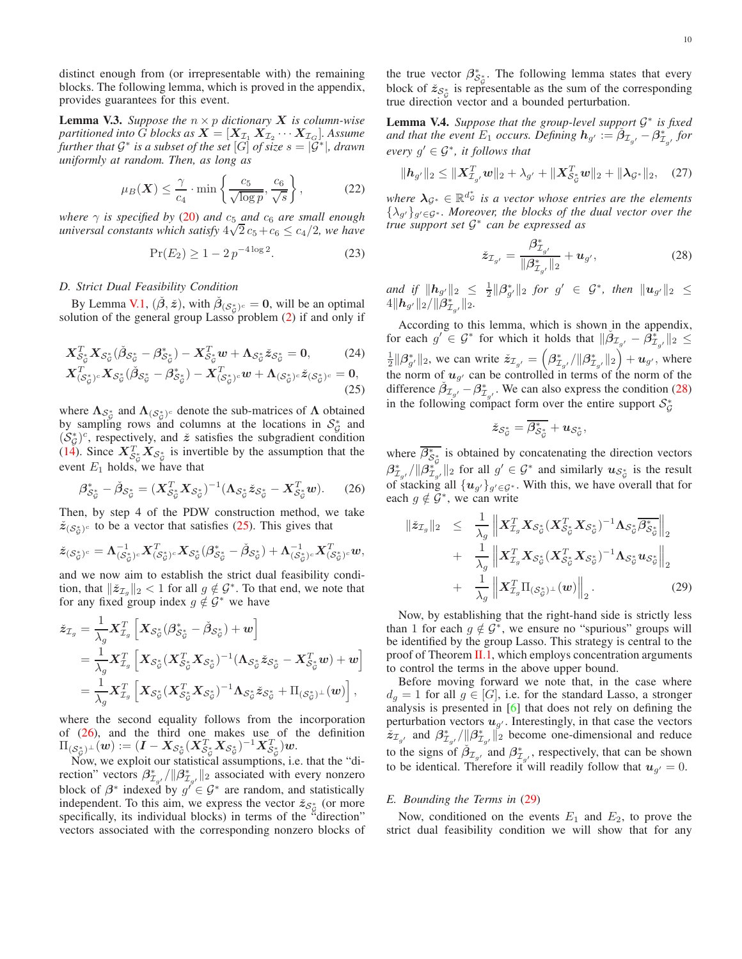distinct enough from (or irrepresentable with) the remaining blocks. The following lemma, which is proved in the appendix, provides guarantees for this event.

<span id="page-9-8"></span>**Lemma V.3.** Suppose the  $n \times p$  dictionary X is column-wise *partitioned into G blocks as*  $X = [X_{\mathcal{I}_1} X_{\mathcal{I}_2} \cdots X_{\mathcal{I}_G}]$ . Assume *further that*  $\mathcal{G}^*$  *is a subset of the set*  $[G]$  *of size*  $s = |\mathcal{G}^*|$ *, drawn uniformly at random. Then, as long as*

$$
\mu_B(\boldsymbol{X}) \le \frac{\gamma}{c_4} \cdot \min\left\{ \frac{c_5}{\sqrt{\log p}}, \frac{c_6}{\sqrt{s}} \right\},\tag{22}
$$

*where*  $\gamma$  *is specified by* [\(20\)](#page-8-4) *and*  $c_5$  *and*  $c_6$  *are small enough* where  $\frac{1}{l}$  is specified by  $(20)$  and  $c_5$  and  $c_6$  are small enough universal constants which satisfy  $4\sqrt{2}$   $c_5 + c_6 \le c_4/2$ , we have

$$
\Pr(E_2) \ge 1 - 2p^{-4\log 2}.\tag{23}
$$

## <span id="page-9-0"></span>*D. Strict Dual Feasibility Condition*

By Lemma [V.1,](#page-7-1)  $(\check{\beta}, \check{z})$ , with  $\check{\beta}_{(S_{\check{\mathcal{G}}}^*)^c} = 0$ , will be an optimal solution of the general group Lasso problem [\(2\)](#page-0-1) if and only if

$$
\mathbf{X}_{\mathcal{S}_{\mathcal{G}}^{+}}^{T} \mathbf{X}_{\mathcal{S}_{\mathcal{G}}^{*}} (\check{\beta}_{\mathcal{S}_{\mathcal{G}}^{*}} - \beta_{\mathcal{S}_{\mathcal{G}}^{*}}^{*}) - \mathbf{X}_{\mathcal{S}_{\mathcal{G}}^{*}}^{T} \mathbf{w} + \mathbf{\Lambda}_{\mathcal{S}_{\mathcal{G}}^{*}} \check{z}_{\mathcal{S}_{\mathcal{G}}^{*}} = \mathbf{0}, \tag{24}
$$

$$
\boldsymbol{X}_{(\mathcal{S}_{\mathcal{G}}^*)^c}^T \boldsymbol{X}_{\mathcal{S}_{\mathcal{G}}^*} (\check{\beta}_{\mathcal{S}_{\mathcal{G}}^*} - \beta_{\mathcal{S}_{\mathcal{G}}^*}^*) - \boldsymbol{X}_{(\mathcal{S}_{\mathcal{G}}^*)^c}^T \boldsymbol{w} + \boldsymbol{\Lambda}_{(\mathcal{S}_{\mathcal{G}}^*)^c} \check{z}_{(\mathcal{S}_{\mathcal{G}}^*)^c} = \boldsymbol{0},
$$
\n(25)

where  $\Lambda_{\mathcal{S}_{\mathcal{G}}}$  and  $\Lambda_{(\mathcal{S}_{\mathcal{G}}^*)^c}$  denote the sub-matrices of  $\Lambda$  obtained by sampling rows and columns at the locations in  $S_g^*$  and  $(S_{\mathcal{G}}^*)^c$ , respectively, and  $\check{z}$  satisfies the subgradient condition [\(14\)](#page-7-5). Since  $X_{\mathcal{S}_{\mathcal{G}}^*}^T X_{\mathcal{S}_{\mathcal{G}}^*}^T$  is invertible by the assumption that the event  $E_1$  holds, we have that

<span id="page-9-2"></span>
$$
\beta_{\mathcal{S}_{\mathcal{G}}^*}^* - \check{\beta}_{\mathcal{S}_{\mathcal{G}}^*} = (X_{\mathcal{S}_{\mathcal{G}}^*}^T X_{\mathcal{S}_{\mathcal{G}}^*})^{-1} (\Lambda_{\mathcal{S}_{\mathcal{G}}^*} \check{z}_{\mathcal{S}_{\mathcal{G}}^*} - X_{\mathcal{S}_{\mathcal{G}}^*}^T w). \tag{26}
$$

Then, by step 4 of the PDW construction method, we take  $\check{z}_{(S^*_g)^c}$  to be a vector that satisfies [\(25\)](#page-9-1). This gives that

$$
\check{\boldsymbol{z}}_{(\mathcal{S}_{\mathcal{G}}^*)^c} = \boldsymbol{\Lambda}_{(\mathcal{S}_{\mathcal{G}}^*)^c}^{-1} \boldsymbol{X}_{(\mathcal{S}_{\mathcal{G}}^*)^c}^T \boldsymbol{X}_{\mathcal{S}_{\mathcal{G}}^*} (\boldsymbol{\beta}_{\mathcal{S}_{\mathcal{G}}^*}^* - \check{\boldsymbol{\beta}}_{\mathcal{S}_{\mathcal{G}}^*}) + \boldsymbol{\Lambda}_{(\mathcal{S}_{\mathcal{G}}^*)^c}^{-1} \boldsymbol{X}_{(\mathcal{S}_{\mathcal{G}}^*)^c}^T \boldsymbol{w},
$$

and we now aim to establish the strict dual feasibility condition, that  $\|\tilde{z}_{\mathcal{I}_g}\|_2 < 1$  for all  $g \notin \mathcal{G}^*$ . To that end, we note that for any fixed group index  $g \notin \mathcal{G}^*$  we have

$$
\begin{aligned} \check{z}_{\mathcal{I}_{g}} &= \frac{1}{\lambda_{g}}\boldsymbol{X}^{T}_{\mathcal{I}_{g}}\left[\boldsymbol{X}_{\mathcal{S}_{\mathcal{G}}^{*}}(\beta^{*}_{\mathcal{S}_{\mathcal{G}}^{*}}-\check{\beta}_{\mathcal{S}_{\mathcal{G}}^{*}})+\boldsymbol{w}\right] \\ &= \frac{1}{\lambda_{g}}\boldsymbol{X}^{T}_{\mathcal{I}_{g}}\left[\boldsymbol{X}_{\mathcal{S}_{\mathcal{G}}^{*}}(\boldsymbol{X}^{T}_{\mathcal{S}_{\mathcal{G}}^{*}}\boldsymbol{X}_{\mathcal{S}_{\mathcal{G}}^{*}})^{-1}(\boldsymbol{\Lambda}_{\mathcal{S}_{\mathcal{G}}^{*}}\check{\boldsymbol{z}}_{\mathcal{S}_{\mathcal{G}}^{*}}-\boldsymbol{X}^{T}_{\mathcal{S}_{\mathcal{G}}^{*}}\boldsymbol{w})+\boldsymbol{w}\right] \\ &= \frac{1}{\lambda_{g}}\boldsymbol{X}^{T}_{\mathcal{I}_{g}}\left[\boldsymbol{X}_{\mathcal{S}_{\mathcal{G}}^{*}}(\boldsymbol{X}^{T}_{\mathcal{S}_{\mathcal{G}}^{*}}\boldsymbol{X}_{\mathcal{S}_{\mathcal{G}}^{*}})^{-1}\boldsymbol{\Lambda}_{\mathcal{S}_{\mathcal{G}}^{*}}\check{\boldsymbol{z}}_{\mathcal{S}_{\mathcal{G}}^{*}}+\Pi_{(\mathcal{S}_{\mathcal{G}}^{*})^{\perp}}(\boldsymbol{w})\right], \end{aligned}
$$

where the second equality follows from the incorporation of [\(26\)](#page-9-2), and the third one makes use of the definition  $\Pi_{(\mathcal{S}^*_{\mathcal{G}})^\perp}(w):=(I-X_{\mathcal{S}^*_{\mathcal{G}}}(X_{\mathcal{S}^*_{\mathcal{G}}}^T X_{\mathcal{S}^*_{\mathcal{G}}})^{-1} X_{\mathcal{S}^*_{\mathcal{G}}})^T w.$ 

Now, we exploit our statistical assumptions, i.e. that the "direction" vectors  $\beta^*_{\mathcal{I}_{g'}} / ||\beta^*_{\mathcal{I}_{g'}}||_2$  associated with every nonzero block of  $\beta^*$  indexed by  $g' \in \mathcal{G}^*$  are random, and statistically independent. To this aim, we express the vector  $\dot{z}_{\mathcal{S}_{\mathcal{G}}^*}$  (or more specifically, its individual blocks) in terms of the "direction" vectors associated with the corresponding nonzero blocks of

the true vector  $\beta_{\mathcal{S}_{\mathcal{G}}^*}^*$ . The following lemma states that every block of  $\dot{z}_{\mathcal{S}_{\mathcal{G}}^*}$  is representable as the sum of the corresponding true direction vector and a bounded perturbation.

<span id="page-9-5"></span>Lemma V.4. *Suppose that the group-level support* G ∗ *is fixed and that the event*  $E_1$  *occurs. Defining*  $h_{g'} := \tilde{\beta}_{\mathcal{I}_{g'}} - \beta_{\mathcal{I}_{g'}}^*$  for  $every g' \in \mathcal{G}^*,$  *it follows that* 

<span id="page-9-6"></span>
$$
\|\mathbf{h}_{g'}\|_2 \leq \|\mathbf{X}_{\mathcal{I}_{g'}}^T \mathbf{w}\|_2 + \lambda_{g'} + \|\mathbf{X}_{\mathcal{S}_{g}^*}^T \mathbf{w}\|_2 + \|\lambda_{\mathcal{G}^*}\|_2, \quad (27)
$$

where  $\lambda_{\mathcal{G}^*} \in \mathbb{R}^{d_{\mathcal{G}}^*}$  is a vector whose entries are the elements  $\{\lambda_{g'}\}_{g' \in \mathcal{G}^*}$ *. Moreover, the blocks of the dual vector over the true support set* G ∗ *can be expressed as*

<span id="page-9-3"></span>
$$
\check{z}_{\mathcal{I}_{g'}} = \frac{\beta^*_{\mathcal{I}_{g'}}}{\|\beta^*_{\mathcal{I}_{g'}}\|_2} + \boldsymbol{u}_{g'},\tag{28}
$$

*and if*  $||h_{g'}||_2 \le \frac{1}{2} ||\beta_{g'}^*||_2$  *for*  $g' \in G^*$ *, then*  $||u_{g'}||_2 \le$  $4\|\bm{h}_{g'}\|_2/\|\bm{\beta}^*_{\mathcal{I}_{g'}}\|_2.$ 

<span id="page-9-1"></span>According to this lemma, which is shown in the appendix, for each  $g' \in \mathcal{G}^*$  for which it holds that  $\|\check{\beta}_{\mathcal{I}_{g'}} - \check{\beta}_{\mathcal{I}_{g'}}^*\|_2 \leq$  $\frac{1}{2}||\beta_{g'}^*||_2$ , we can write  $\check{z}_{\mathcal{I}_{g'}} = \left(\beta_{\mathcal{I}_{g'}}^*/||\beta_{\mathcal{I}_{g'}}^*||_2\right)$  $+ u_{g'}$ , where the norm of  $u_{g'}$  can be controlled in terms of the norm of the difference  $\tilde{\beta}_{\mathcal{I}_{g'}} - \beta^*_{\mathcal{I}_{g'}}$ . We can also express the condition [\(28\)](#page-9-3) in the following compact form over the entire support  $S^*_{\mathcal{G}}$ 

$$
\check{\pmb{z}}_{\mathcal{S}^*_{\mathcal{G}}}=\overline{\boldsymbol{\beta}^*_{\mathcal{S}^*_{\mathcal{G}}}}+\boldsymbol{u}_{\mathcal{S}^*_{\mathcal{G}}},
$$

where  $\beta_{\mathcal{S}_{\mathcal{G}}^*}^*$  is obtained by concatenating the direction vectors  $\beta^*_{\mathcal{I}_{g'}}/\|\beta^*_{\mathcal{I}_{g'}}\|_2$  for all  $g' \in \mathcal{G}^*$  and similarly  $u_{\mathcal{S}^*_{\mathcal{G}}}$  is the result of stacking all  $\{u_{q'}\}_{q'\in\mathcal{G}^*}$ . With this, we have overall that for each  $g \notin \mathcal{G}^*$ , we can write

<span id="page-9-4"></span>
$$
\begin{array}{rcl}\n\left\|\tilde{\mathbf{z}}_{\mathcal{I}_{g}}\right\|_{2} & \leq & \frac{1}{\lambda_{g}}\left\|\mathbf{X}_{\mathcal{I}_{g}}^{T}\mathbf{X}_{\mathcal{S}_{g}^{*}}(\mathbf{X}_{\mathcal{S}_{g}^{*}}^{T}\mathbf{X}_{\mathcal{S}_{g}^{*}})^{-1}\mathbf{\Lambda}_{\mathcal{S}_{g}^{*}}\overline{\boldsymbol{\beta}_{\mathcal{S}_{g}^{*}}^{*}}\right\|_{2} \\
& & + & \frac{1}{\lambda_{g}}\left\|\mathbf{X}_{\mathcal{I}_{g}}^{T}\mathbf{X}_{\mathcal{S}_{g}^{*}}(\mathbf{X}_{\mathcal{S}_{g}^{*}}^{T}\mathbf{X}_{\mathcal{S}_{g}^{*}})^{-1}\mathbf{\Lambda}_{\mathcal{S}_{g}^{*}}\mathbf{u}_{\mathcal{S}_{g}^{*}}\right\|_{2} \\
& & + & \frac{1}{\lambda_{g}}\left\|\mathbf{X}_{\mathcal{I}_{g}}^{T}\Pi_{(\mathcal{S}_{g}^{*})^{\perp}}(\mathbf{w})\right\|_{2}.\n\end{array} \tag{29}
$$

Now, by establishing that the right-hand side is strictly less than 1 for each  $g \notin \mathcal{G}^*$ , we ensure no "spurious" groups will be identified by the group Lasso. This strategy is central to the proof of Theorem [II.1,](#page-3-0) which employs concentration arguments to control the terms in the above upper bound.

Before moving forward we note that, in the case where  $d_q = 1$  for all  $q \in [G]$ , i.e. for the standard Lasso, a stronger analysis is presented in [\[6\]](#page-15-3) that does not rely on defining the perturbation vectors  $u_{g'}$ . Interestingly, in that case the vectors  $\dot{z}_{\mathcal{I}_{g'}}$  and  $\beta^*_{\mathcal{I}_{g'}}/||\beta^*_{\mathcal{I}_{g'}}||_2$  become one-dimensional and reduce to the signs of  $\tilde{\beta}_{\mathcal{I}_{g'}}$  and  $\beta_{\mathcal{I}_{g'}}^*$ , respectively, that can be shown to be identical. Therefore it will readily follow that  $u_{q'} = 0$ .

## <span id="page-9-7"></span>*E. Bounding the Terms in* [\(29\)](#page-9-4)

Now, conditioned on the events  $E_1$  and  $E_2$ , to prove the strict dual feasibility condition we will show that for any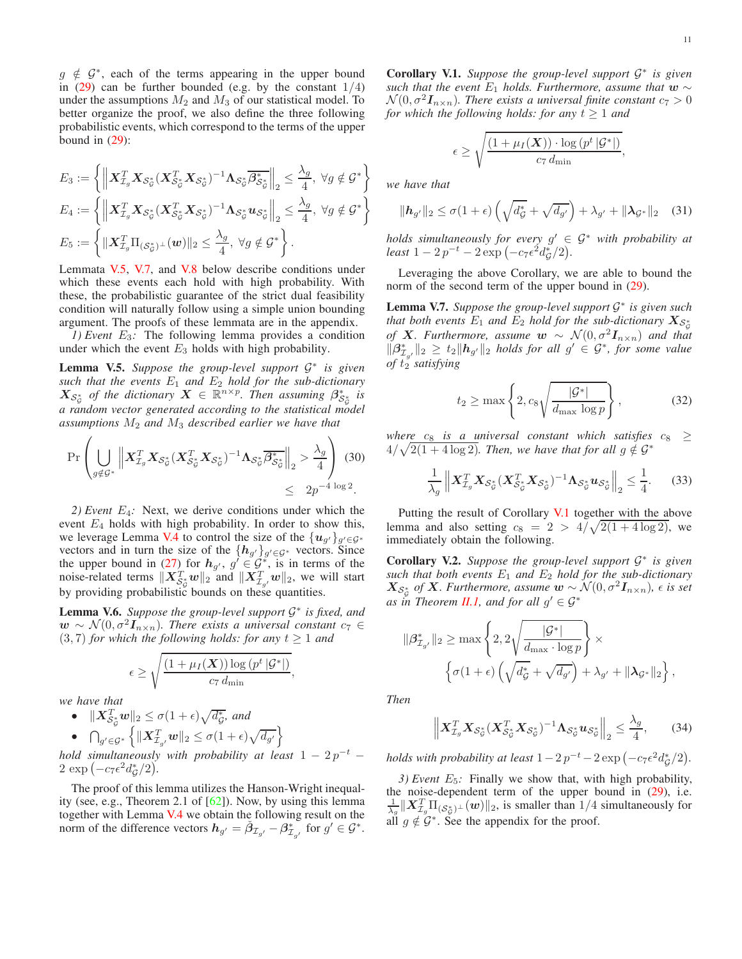$g \notin G^*$ , each of the terms appearing in the upper bound in  $(29)$  can be further bounded (e.g. by the constant  $1/4$ ) under the assumptions  $M_2$  and  $M_3$  of our statistical model. To better organize the proof, we also define the three following probabilistic events, which correspond to the terms of the upper bound in  $(29)$ :

$$
E_3 := \left\{ \left\| \mathbf{X}_{\mathcal{I}_g}^T \mathbf{X}_{\mathcal{S}_{\mathcal{G}}^*} (\mathbf{X}_{\mathcal{S}_{\mathcal{G}}^*}^T \mathbf{X}_{\mathcal{S}_{\mathcal{G}}^*})^{-1} \mathbf{\Lambda}_{\mathcal{S}_{\mathcal{G}}^*} \overline{\beta_{\mathcal{S}_{\mathcal{G}}^*}^*} \right\|_2 \le \frac{\lambda_g}{4}, \ \forall g \notin \mathcal{G}^* \right\}
$$
  
\n
$$
E_4 := \left\{ \left\| \mathbf{X}_{\mathcal{I}_g}^T \mathbf{X}_{\mathcal{S}_{\mathcal{G}}^*} (\mathbf{X}_{\mathcal{S}_{\mathcal{G}}^*}^T \mathbf{X}_{\mathcal{S}_{\mathcal{G}}^*})^{-1} \mathbf{\Lambda}_{\mathcal{S}_{\mathcal{G}}^*} \mathbf{u}_{\mathcal{S}_{\mathcal{G}}^*} \right\|_2 \le \frac{\lambda_g}{4}, \ \forall g \notin \mathcal{G}^* \right\}
$$
  
\n
$$
E_5 := \left\{ \left\| \mathbf{X}_{\mathcal{I}_g}^T \Pi_{(\mathcal{S}_{\mathcal{G}}^*)^\perp} (\mathbf{w}) \right\|_2 \le \frac{\lambda_g}{4}, \ \forall g \notin \mathcal{G}^* \right\}.
$$

Lemmata [V.5,](#page-10-0) [V.7,](#page-10-1) and [V.8](#page-11-1) below describe conditions under which these events each hold with high probability. With these, the probabilistic guarantee of the strict dual feasibility condition will naturally follow using a simple union bounding argument. The proofs of these lemmata are in the appendix.

*1) Event* E3*:* The following lemma provides a condition under which the event  $E_3$  holds with high probability.

<span id="page-10-0"></span>Lemma V.5. *Suppose the group-level support* G ∗ *is given* such that the events  $E_1$  and  $E_2$  hold for the sub-dictionary  $X_{\mathcal{S}_{\mathcal{G}}^*}$  of the dictionary  $X \in \mathbb{R}^{n \times p}$ . Then assuming  $\beta_{\mathcal{S}_{\mathcal{G}}^*}^*$  is G *a random vector generated according to the statistical model assumptions* M<sup>2</sup> *and* M<sup>3</sup> *described earlier we have that*

<span id="page-10-4"></span>
$$
\Pr\left(\bigcup_{g \notin \mathcal{G}^*} \left\| \boldsymbol{X}_{\mathcal{I}_g}^T \boldsymbol{X}_{\mathcal{S}_{\mathcal{G}}^*} (\boldsymbol{X}_{\mathcal{S}_{\mathcal{G}}^*}^T \boldsymbol{X}_{\mathcal{S}_{\mathcal{G}}^*})^{-1} \boldsymbol{\Lambda}_{\mathcal{S}_{\mathcal{G}}^*} \overline{\boldsymbol{\beta}_{\mathcal{S}_{\mathcal{G}}^*}^*} \right\|_2 > \frac{\lambda_g}{4} \right) (30) \leq 2p^{-4 \log 2}.
$$

*2) Event* E4*:* Next, we derive conditions under which the event  $E_4$  holds with high probability. In order to show this, we leverage Lemma [V.4](#page-9-5) to control the size of the  $\{u_{g'}\}_{g' \in \mathcal{G}^*}$ vectors and in turn the size of the  ${h_{g'}}_g{}_{g' \in \mathcal{G}^*}$  vectors. Since the upper bound in [\(27\)](#page-9-6) for  $h_{g'}$ ,  $g' \in \mathcal{G}^*$ , is in terms of the noise-related terms  $||\mathbf{X}_{\mathcal{S}_{\mathcal{G}}}^T \mathbf{w}||_2$  and  $||\mathbf{X}_{\mathcal{I}_{g'}}^T \mathbf{w}||_2$ , we will start by providing probabilistic bounds on these quantities.

<span id="page-10-5"></span>**Lemma V.6.** *Suppose the group-level support*  $\mathcal{G}^*$  *is fixed, and*  $w \sim \mathcal{N}(0, \sigma^2 I_{n \times n})$ . There exists a universal constant  $c_7 \in$  $(3, 7)$  *for which the following holds: for any*  $t \ge 1$  *and* 

$$
\epsilon \ge \sqrt{\frac{(1 + \mu_I(\boldsymbol{X})) \log (p^t | \mathcal{G}^*|)}{c_7 d_{\min}}},
$$

*we have that*

•  $\|X_{\mathcal{S}_{\mathcal{G}}^*}^T w\|_2 \le \sigma(1+\epsilon)\sqrt{d_{\mathcal{G}}^*}$ , and

$$
\bullet \quad \bigcap\nolimits_{g' \in \mathcal{G}^*} \left\{ \| \boldsymbol{X}^T_{\mathcal{I}_{g'}} \boldsymbol{w} \|_2 \leq \sigma (1+\epsilon) \sqrt{d_{g'}} \right\}
$$

*hold simultaneously with probability at least*  $1 - 2p^{-t}$  –  $2 \exp(-c_7 \epsilon^2 d_{\mathcal{G}}^*/2).$ 

The proof of this lemma utilizes the Hanson-Wright inequality (see, e.g., Theorem 2.1 of [\[62\]](#page-16-29)). Now, by using this lemma together with Lemma [V.4](#page-9-5) we obtain the following result on the norm of the difference vectors  $h_{g'} = \check{\beta}_{\mathcal{I}_{g'}} - \beta_{\mathcal{I}_{g'}}^*$  for  $g' \in \mathcal{G}^*$ .

<span id="page-10-2"></span>Corollary V.1. *Suppose the group-level support* G ∗ *is given such that the event*  $E_1$  *holds. Furthermore, assume that*  $w \sim$  $\mathcal{N}(0, \sigma^2 \mathbf{I}_{n \times n})$ *. There exists a universal finite constant*  $c_7 > 0$ *for which the following holds: for any*  $t \geq 1$  *and* 

$$
\epsilon \ge \sqrt{\frac{(1 + \mu_I(\boldsymbol{X})) \cdot \log (p^t | \mathcal{G}^*|)}{c_7 d_{\min}}},
$$

*we have that*

$$
\|\boldsymbol{h}_{g'}\|_2 \leq \sigma(1+\epsilon)\left(\sqrt{d_{\mathcal{G}}^*} + \sqrt{d_{g'}}\right) + \lambda_{g'} + \|\boldsymbol{\lambda}_{\mathcal{G}^*}\|_2 \quad (31)
$$

*holds simultaneously for every* g ′ ∈ G<sup>∗</sup> *with probability at*  $least \ 1 - 2 \ p^{-t} - 2 \exp(-c_7 \epsilon^2 d^*_{\mathcal{G}}/2).$ 

Leveraging the above Corollary, we are able to bound the norm of the second term of the upper bound in [\(29\)](#page-9-4).

<span id="page-10-1"></span>Lemma V.7. *Suppose the group-level support* G ∗ *is given such that both events*  $E_1$  *and*  $E_2$  *hold for the sub-dictionary*  $X_{\mathcal{S}_{\mathcal{G}}^*}$ *of* **X***. Furthermore, assume*  $w \sim \mathcal{N}(0, \sigma^2 I_{n \times n})$  *and that*  $\|\beta^*_{\mathcal{I}_{g'}}\|_2 \geq t_2 \|h_{g'}\|_2$  holds for all  $g' \in \mathcal{G}^*$ , for some value *of*  $t_2$  *satisfying* 

$$
t_2 \ge \max\left\{2, c_8 \sqrt{\frac{|\mathcal{G}^*|}{d_{\max} \log p}}\right\},\tag{32}
$$

*where*  $c_8$  *is a universal constant which satisfies*  $c_8 \geq$  $4/\sqrt{2(1+4\log 2)}$ . Then, we have that for all  $g \notin \mathcal{G}^*$ 

$$
\frac{1}{\lambda_g} \left\| \mathbf{X}_{\mathcal{I}_g}^T \mathbf{X}_{\mathcal{S}_{\mathcal{G}}^*} (\mathbf{X}_{\mathcal{S}_{\mathcal{G}}^*}^T \mathbf{X}_{\mathcal{S}_{\mathcal{G}}^*})^{-1} \mathbf{\Lambda}_{\mathcal{S}_{\mathcal{G}}^*} \mathbf{u}_{\mathcal{S}_{\mathcal{G}}^*} \right\|_2 \leq \frac{1}{4}.
$$
 (33)

Putting the result of Corollary [V.1](#page-10-2) together with the above lemma and also setting  $c_8 = 2 > 4/\sqrt{2(1+4\log 2)}$ , we immediately obtain the following.

<span id="page-10-3"></span>Corollary V.2. *Suppose the group-level support* G ∗ *is given such that both events*  $E_1$  *and*  $E_2$  *hold for the sub-dictionary*  $X_{\mathcal{S}_{\mathcal{G}}^*}$  of  $X$ *. Furthermore, assume*  $w \sim \mathcal{N}(0, \sigma^2 I_{n \times n})$ *,*  $\epsilon$  *is set* as in Theorem [II.1,](#page-3-0) and for all  $g' \in \mathcal{G}^*$ 

$$
\begin{aligned} \|\beta^*_{\mathcal{I}_{g'}}\|_2 &\geq \max\left\{2, 2\sqrt{\frac{|\mathcal{G}^*|}{d_{\max}\cdot\log p}}\right\}\times \\ &\qquad \left\{\sigma(1+\epsilon)\left(\sqrt{d^*_\mathcal{G}}+\sqrt{d_{g'}}\right)+\lambda_{g'}+\|\lambda_{\mathcal{G}^*}\|_2\right\}, \end{aligned}
$$

*Then*

$$
\left\|X_{\mathcal{I}_g}^T X_{\mathcal{S}_{\mathcal{G}}^*}(X_{\mathcal{S}_{\mathcal{G}}^*}^T X_{\mathcal{S}_{\mathcal{G}}^*})^{-1} \Lambda_{\mathcal{S}_{\mathcal{G}}^*} u_{\mathcal{S}_{\mathcal{G}}^*}\right\|_2 \le \frac{\lambda_g}{4},\qquad(34)
$$

*holds with probability at least*  $1 - 2p^{-t} - 2\exp(-c_7\epsilon^2 d_g^*(2))$ .

*3) Event* E<sub>5</sub>: Finally we show that, with high probability, the noise-dependent term of the upper bound in [\(29\)](#page-9-4), i.e.  $\frac{1}{\lambda_g}||\mathbf{X}_{\mathcal{I}_g}^T\Pi_{(\mathcal{S}_{\mathcal{G}}^*)^{\perp}}(\boldsymbol{w})||_2$ , is smaller than  $1/4$  simultaneously for all  $g \notin \mathcal{G}^*$ . See the appendix for the proof.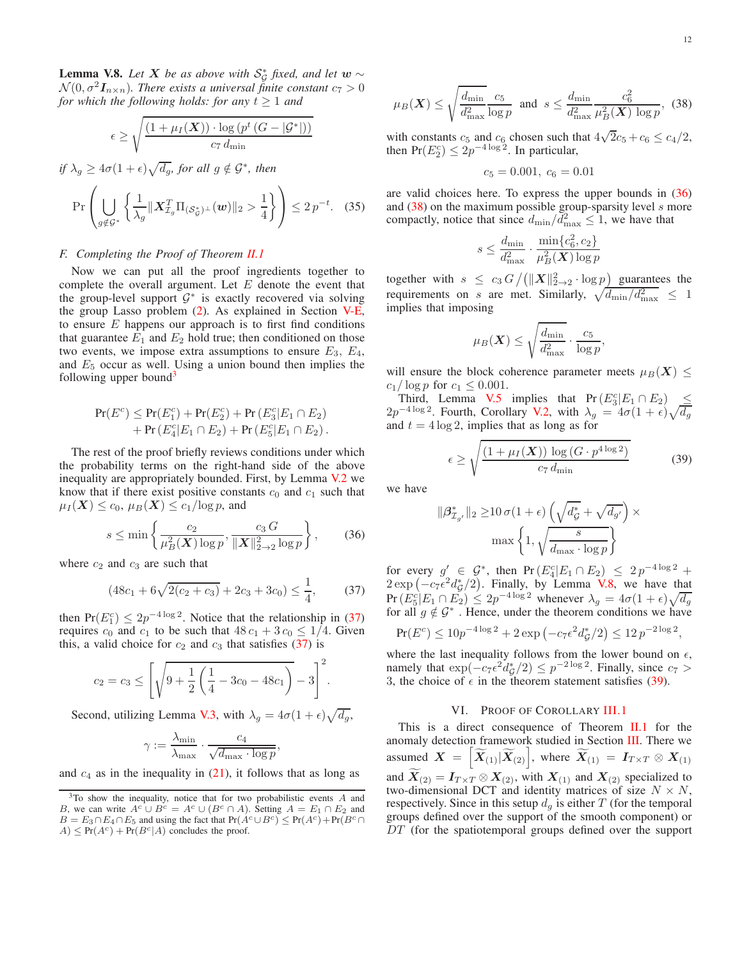<span id="page-11-1"></span>**Lemma V.8.** *Let*  $X$  *be as above with*  $S^*_{\mathcal{G}}$  *fixed, and let*  $w \sim$  $\mathcal{N}(0, \sigma^2 \mathbf{I}_{n \times n})$ . There exists a universal finite constant  $c_7 > 0$ *for which the following holds: for any*  $t \geq 1$  *and* 

$$
\epsilon \ge \sqrt{\frac{(1 + \mu_I(\boldsymbol{X})) \cdot \log (p^t (G - |\mathcal{G}^*|))}{c_7 d_{\min}}}
$$

$$
if \lambda_g \ge 4\sigma (1+\epsilon)\sqrt{d_g}, \text{ for all } g \notin \mathcal{G}^*, \text{ then}
$$

$$
\Pr\left(\bigcup_{g \notin \mathcal{G}^*} \left\{\frac{1}{\lambda_g} \|\boldsymbol{X}_{\mathcal{I}_g}^T \Pi_{(\mathcal{S}_g^*)^\perp}(\boldsymbol{w})\|_2 > \frac{1}{4}\right\}\right) \le 2p^{-t}. \quad (35)
$$

# *F. Completing the Proof of Theorem [II.1](#page-3-0)*

Now we can put all the proof ingredients together to complete the overall argument. Let  $E$  denote the event that the group-level support  $G^*$  is exactly recovered via solving the group Lasso problem [\(2\)](#page-0-1). As explained in Section [V-E,](#page-9-7) to ensure  $E$  happens our approach is to first find conditions that guarantee  $E_1$  and  $E_2$  hold true; then conditioned on those two events, we impose extra assumptions to ensure  $E_3$ ,  $E_4$ , and  $E_5$  occur as well. Using a union bound then implies the following upper bound $3$ 

$$
Pr(E^c) \leq Pr(E_1^c) + Pr(E_2^c) + Pr(E_3^c|E_1 \cap E_2) + Pr(E_4^c|E_1 \cap E_2) + Pr(E_5^c|E_1 \cap E_2).
$$

The rest of the proof briefly reviews conditions under which the probability terms on the right-hand side of the above inequality are appropriately bounded. First, by Lemma [V.2](#page-8-5) we know that if there exist positive constants  $c_0$  and  $c_1$  such that  $\mu_I(\boldsymbol{X}) \leq c_0$ ,  $\mu_B(\boldsymbol{X}) \leq c_1/\log p$ , and

<span id="page-11-4"></span>
$$
s \le \min\left\{\frac{c_2}{\mu_B^2(\mathbf{X})\log p}, \frac{c_3 G}{\|\mathbf{X}\|_{2\to 2}^2 \log p}\right\},\qquad(36)
$$

where  $c_2$  and  $c_3$  are such that

<span id="page-11-3"></span>
$$
(48c_1 + 6\sqrt{2(c_2 + c_3)} + 2c_3 + 3c_0) \le \frac{1}{4},
$$
 (37)

then  $Pr(E_1^c) \le 2p^{-4 \log 2}$ . Notice that the relationship in [\(37\)](#page-11-3) requires  $c_0$  and  $c_1$  to be such that  $48 c_1 + 3 c_0 \leq 1/4$ . Given this, a valid choice for  $c_2$  and  $c_3$  that satisfies [\(37\)](#page-11-3) is

$$
c_2 = c_3 \le \left[ \sqrt{9 + \frac{1}{2} \left( \frac{1}{4} - 3c_0 - 48c_1 \right)} - 3 \right]^2.
$$

Second, utilizing Lemma [V.3,](#page-9-8) with  $\lambda_g = 4\sigma(1+\epsilon)\sqrt{d_g}$ ,

$$
\gamma := \frac{\lambda_{\min}}{\lambda_{\max}} \cdot \frac{c_4}{\sqrt{d_{\max} \cdot \log p}}
$$

,

and  $c_4$  as in the inequality in [\(21\)](#page-8-6), it follows that as long as

<span id="page-11-5"></span>
$$
\mu_B(\boldsymbol{X}) \le \sqrt{\frac{d_{\min}}{d_{\max}^2}} \frac{c_5}{\log p} \text{ and } s \le \frac{d_{\min}}{d_{\max}^2} \frac{c_6^2}{\mu_B^2(\boldsymbol{X})} \log p, \tag{38}
$$

with constants  $c_5$  and  $c_6$  chosen such that  $4\sqrt{2}c_5 + c_6 \leq c_4/2$ , then  $Pr(E_2^c) \leq 2p^{-4 \log 2}$ . In particular,

$$
c_5 = 0.001, \ c_6 = 0.01
$$

are valid choices here. To express the upper bounds in [\(36\)](#page-11-4) and  $(38)$  on the maximum possible group-sparsity level s more compactly, notice that since  $d_{\min}/d_{\max}^2 \leq 1$ , we have that

$$
s \le \frac{d_{\min}}{d_{\max}^2} \cdot \frac{\min\{c_6^2, c_2\}}{\mu_B^2(\mathbf{X})\log p}
$$

together with  $s \leq c_3 G / (\Vert \boldsymbol{X} \Vert_{2\to 2}^2 \cdot \log p)$  guarantees the requirements on s are met. Similarly,  $\sqrt{d_{\min}/d_{\max}^2} \leq 1$ implies that imposing

$$
\mu_B(\boldsymbol{X}) \le \sqrt{\frac{d_{\min}}{d_{\max}^2}} \cdot \frac{c_5}{\log p},
$$

will ensure the block coherence parameter meets  $\mu_B(X) \leq$  $c_1/\log p$  for  $c_1 \leq 0.001$ .

Third, Lemma [V.5](#page-10-0) implies that  $Pr(E_3^c|E_1 \cap E_2) \le$ 2 $p^{-4 \log 2}$ . Fourth, Corollary [V.2,](#page-10-3) with  $\lambda_g = 4\sigma(1+\epsilon)\sqrt{d_g}$ and  $t = 4 \log 2$ , implies that as long as for

<span id="page-11-6"></span>
$$
\epsilon \ge \sqrt{\frac{\left(1 + \mu_I(\boldsymbol{X})\right) \log\left(G \cdot p^{4\log 2}\right)}{c_7 d_{\min}}} \tag{39}
$$

we have

$$
\begin{aligned} \|\beta^*_{\mathcal{I}_{g'}}\|_2 \geq & 10\,\sigma(1+\epsilon)\left(\sqrt{d^*_\mathcal{G}}+\sqrt{d_{g'}}\right)\times \\ & \quad \max\left\{1, \sqrt{\frac{s}{d_{\max}\cdot\log p}}\right\} \end{aligned}
$$

for every  $g' \in \mathcal{G}^*$ , then  $Pr(E_4^c | E_1 \cap E_2) \leq 2p^{-4 \log 2} +$  $2 \exp(-c_7 \epsilon^2 d_g^*/2)$ . Finally, by Lemma [V.8,](#page-11-1) we have that  $\Pr(E_5^c | E_1 \cap E_2) \leq 2p^{-4\log 2}$  whenever  $\lambda_g = 4\sigma(1+\epsilon)\sqrt{dg}$ for all  $g \notin \mathcal{G}^*$ . Hence, under the theorem conditions we have

$$
\Pr(E^c) \le 10p^{-4\log 2} + 2\exp\left(-c_7\epsilon^2 d_{\mathcal{G}}^*/2\right) \le 12p^{-2\log 2},
$$

where the last inequality follows from the lower bound on  $\epsilon$ , namely that  $\exp(-c_7 \epsilon^2 d_{\mathcal{G}}^*/2) \leq p^{-2 \log 2}$ . Finally, since  $c_7 >$ 3, the choice of  $\epsilon$  in the theorem statement satisfies [\(39\)](#page-11-6).

#### VI. PROOF OF COROLLARY [III.1](#page-5-3)

<span id="page-11-0"></span>This is a direct consequence of Theorem [II.1](#page-3-0) for the anomaly detection framework studied in Section [III.](#page-4-0) There we assumed  $\boldsymbol{X} = \left[ \widetilde{\boldsymbol{X}}_{(1)} | \widetilde{\boldsymbol{X}}_{(2)} \right]$ , where  $\widetilde{\boldsymbol{X}}_{(1)} = \boldsymbol{I}_{T \times T} \otimes \boldsymbol{X}_{(1)}$ and  $X_{(2)} = I_{T \times T} \otimes X_{(2)}$ , with  $X_{(1)}$  and  $X_{(2)}$  specialized to two-dimensional DCT and identity matrices of size  $N \times N$ , respectively. Since in this setup  $d_q$  is either T (for the temporal groups defined over the support of the smooth component) or DT (for the spatiotemporal groups defined over the support

<span id="page-11-2"></span> $3$ To show the inequality, notice that for two probabilistic events A and B, we can write  $A^c \cup B^c = A^c \cup (B^c \cap A)$ . Setting  $A = E_1 \cap E_2$  and  $B = E_3 \cap E_4 \cap E_5$  and using the fact that  $Pr(A^c \cup B^c) \leq Pr(A^c) + Pr(B^c \cap$  $A) \leq Pr(A^c) + Pr(B^c|A)$  concludes the proof.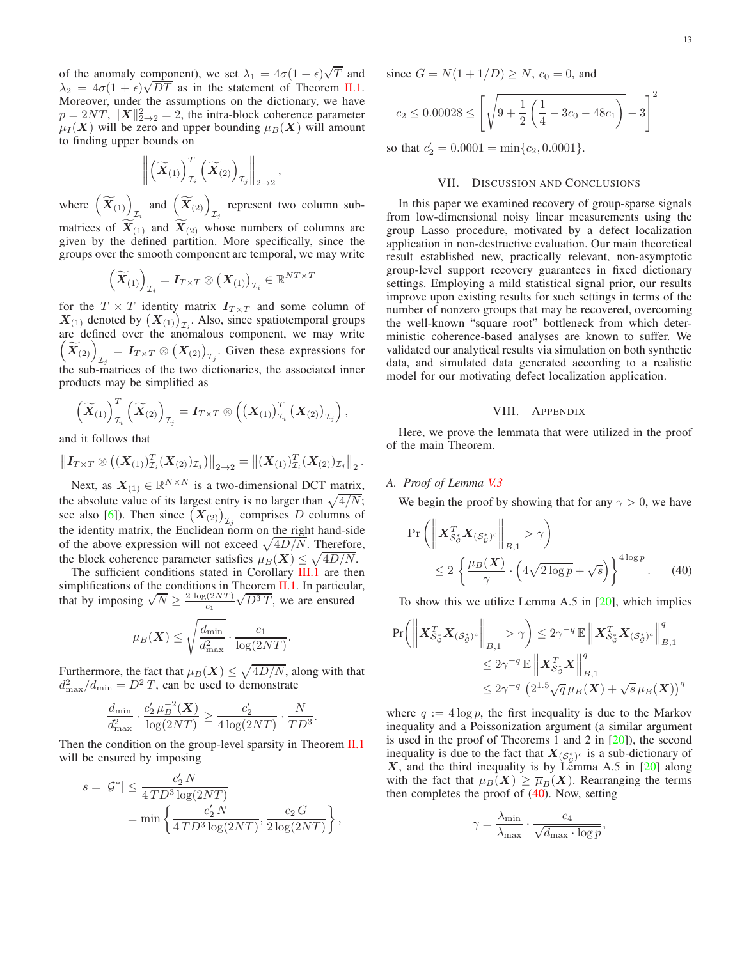of the anomaly component), we set  $\lambda_1 = 4\sigma(1+\epsilon)\sqrt{T}$  and  $\lambda_2 = 4\sigma(1+\epsilon)\sqrt{DT}$  as in the statement of Theorem [II.1.](#page-3-0) Moreover, under the assumptions on the dictionary, we have  $p = 2NT$ ,  $\|\mathbf{X}\|_{2\to 2}^2 = 2$ , the intra-block coherence parameter  $\mu_I(\mathbf{X})$  will be zero and upper bounding  $\mu_B(\mathbf{X})$  will amount to finding upper bounds on

$$
\left\| \left(\widetilde{\boldsymbol{X}}_{\left(1\right)}\right)_{\mathcal{I}_{i}}^{T}\left(\widetilde{\boldsymbol{X}}_{\left(2\right)}\right)_{\mathcal{I}_{j}}\right\| _{2\rightarrow2}
$$

,

where  $\left(\widetilde{\boldsymbol{X}}_{(1)}\right)_{\mathcal{I}_i}$ and  $\left(\widetilde{\mathbf{X}}_{(2)}\right)_{\mathcal{I}_j}$ represent two column submatrices of  $X_{(1)}$  and  $X_{(2)}$  whose numbers of columns are given by the defined partition. More specifically, since the

groups over the smooth component are temporal, we may write

$$
\left(\widetilde{\boldsymbol{X}}_{\left(1\right)}\right)_{\mathcal{I}_{i}}=\boldsymbol{I}_{T\times T}\otimes\left(\boldsymbol{X}_{\left(1\right)}\right)_{\mathcal{I}_{i}}\in\mathbb{R}^{NT\times T}
$$

for the  $T \times T$  identity matrix  $\mathbf{I}_{T \times T}$  and some column of  $X_{(1)}$  denoted by  $(X_{(1)})_{\tau_{\lambda}}$ . Also, since spatiotemporal groups are defined over the anomalous component, we may write  $\left(\widetilde{X}_{(2)}\right)_{\mathcal{I}_j} = I_{T\times T} \otimes \left(X_{(2)}\right)_{\mathcal{I}_j}$ . Given these expressions for the sub-matrices of the two dictionaries, the associated inner products may be simplified as

$$
\left(\widetilde{\boldsymbol{X}}_{\left(1\right)}\right)_{\mathcal{I}_{i}}^{T}\left(\widetilde{\boldsymbol{X}}_{\left(2\right)}\right)_{\mathcal{I}_{j}}=\boldsymbol{I}_{T\times T}\otimes\left(\left(\boldsymbol{X}_{\left(1\right)}\right)_{\mathcal{I}_{i}}^{T}\left(\boldsymbol{X}_{\left(2\right)}\right)_{\mathcal{I}_{j}}\right),
$$

and it follows that

$$
\left\|I_{T\times T}\otimes \left((X_{(1)})_{\mathcal{I}_i}^T(X_{(2)})_{\mathcal{I}_j}\right)\right\|_{2\to 2}=\left\|(X_{(1)})_{\mathcal{I}_i}^T(X_{(2)})_{\mathcal{I}_j}\right\|_2.
$$

Next, as  $X_{(1)} \in \mathbb{R}^{N \times N}$  is a two-dimensional DCT matrix, the absolute value of its largest entry is no larger than  $\sqrt{4/N}$ ; see also [\[6\]](#page-15-3)). Then since  $(X_{(2)})_{\mathcal{I}_j}$  comprises D columns of the identity matrix, the Euclidean norm on the right hand-side of the above expression will not exceed  $\sqrt{4D/N}$ . Therefore, the block coherence parameter satisfies  $\mu_B(\mathbf{X}) \leq \sqrt{4D/N}$ .

The sufficient conditions stated in Corollary [III.1](#page-5-3) are then simplifications of the conditions in Theorem [II.1.](#page-3-0) In particular, that by imposing  $\sqrt{N} \ge \frac{2 \log(2NT)}{c_1} \sqrt{D^3 T}$ , we are ensured  $c_1$  $\sqrt{D^3 T}$ , we are ensured

$$
\mu_B(\boldsymbol{X}) \le \sqrt{\frac{d_{\min}}{d_{\max}^2}} \cdot \frac{c_1}{\log(2NT)}.
$$

Furthermore, the fact that  $\mu_B(\mathbf{X}) \leq \sqrt{4D/N}$ , along with that  $d_{\text{max}}^2/d_{\text{min}} = D^2 T$ , can be used to demonstrate

$$
\frac{d_{\min}}{d_{\max}^2} \cdot \frac{c_2' \,\mu_B^{-2}(\bm{X})}{\log(2NT)} \ge \frac{c_2'}{4\log(2NT)} \cdot \frac{N}{TD^3}.
$$

Then the condition on the group-level sparsity in Theorem [II.1](#page-3-0) will be ensured by imposing

$$
s = |\mathcal{G}^*| \le \frac{c'_2 N}{4 TD^3 \log(2NT)}
$$
  
= min  $\left\{ \frac{c'_2 N}{4 TD^3 \log(2NT)}, \frac{c_2 G}{2 \log(2NT)} \right\}$ ,

since  $G = N(1 + 1/D) \ge N$ ,  $c_0 = 0$ , and

$$
c_2 \le 0.00028 \le \left[\sqrt{9 + \frac{1}{2} \left(\frac{1}{4} - 3c_0 - 48c_1\right)} - 3\right]^2
$$

<span id="page-12-0"></span>so that  $c'_2 = 0.0001 = \min\{c_2, 0.0001\}.$ 

#### VII. DISCUSSION AND CONCLUSIONS

In this paper we examined recovery of group-sparse signals from low-dimensional noisy linear measurements using the group Lasso procedure, motivated by a defect localization application in non-destructive evaluation. Our main theoretical result established new, practically relevant, non-asymptotic group-level support recovery guarantees in fixed dictionary settings. Employing a mild statistical signal prior, our results improve upon existing results for such settings in terms of the number of nonzero groups that may be recovered, overcoming the well-known "square root" bottleneck from which deterministic coherence-based analyses are known to suffer. We validated our analytical results via simulation on both synthetic data, and simulated data generated according to a realistic model for our motivating defect localization application.

### <span id="page-12-1"></span>VIII. APPENDIX

Here, we prove the lemmata that were utilized in the proof of the main Theorem.

#### *A. Proof of Lemma [V.3](#page-9-8)*

We begin the proof by showing that for any  $\gamma > 0$ , we have

$$
\Pr\left(\left\|\boldsymbol{X}_{\mathcal{S}_{\mathcal{G}}^*}^T\boldsymbol{X}_{(\mathcal{S}_{\mathcal{G}}^*)^c}\right\|_{B,1} > \gamma\right) \le 2\left\{\frac{\mu_B(\boldsymbol{X})}{\gamma} \cdot \left(4\sqrt{2\log p} + \sqrt{s}\right)\right\}^{4\log p}.\tag{40}
$$

To show this we utilize Lemma A.5 in  $[20]$ , which implies

$$
\Pr\left(\left\|\mathbf{X}_{\mathcal{S}_{\mathcal{G}}^*}^T\mathbf{X}_{(\mathcal{S}_{\mathcal{G}}^*)^c}\right\|_{B,1} > \gamma\right) \leq 2\gamma^{-q} \mathbb{E}\left\|\mathbf{X}_{\mathcal{S}_{\mathcal{G}}^*}^T\mathbf{X}_{(\mathcal{S}_{\mathcal{G}}^*)^c}\right\|_{B,1}^q
$$
  

$$
\leq 2\gamma^{-q} \mathbb{E}\left\|\mathbf{X}_{\mathcal{S}_{\mathcal{G}}^*}^T\mathbf{X}\right\|_{B,1}^q
$$
  

$$
\leq 2\gamma^{-q} \left(2^{1.5}\sqrt{q}\mu_B(\mathbf{X}) + \sqrt{s}\mu_B(\mathbf{X})\right)^q
$$

where  $q := 4 \log p$ , the first inequality is due to the Markov inequality and a Poissonization argument (a similar argument is used in the proof of Theorems 1 and 2 in  $[20]$ ), the second inequality is due to the fact that  $X_{(\mathcal{S}^*_\mathcal{G})^c}$  is a sub-dictionary of  $X$ , and the third inequality is by Lemma A.5 in  $[20]$  along with the fact that  $\mu_B(X) \geq \overline{\mu}_B(X)$ . Rearranging the terms then completes the proof of  $(40)$ . Now, setting

$$
\gamma = \frac{\lambda_{\min}}{\lambda_{\max}} \cdot \frac{c_4}{\sqrt{d_{\max} \cdot \log p}},
$$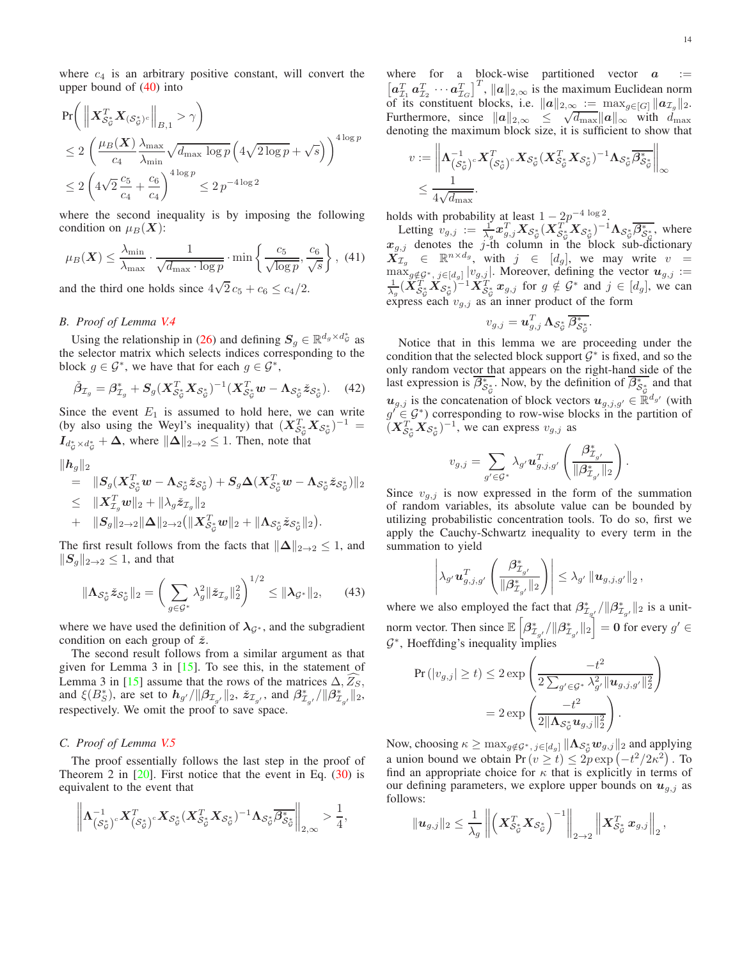where  $c_4$  is an arbitrary positive constant, will convert the upper bound of [\(40\)](#page-12-1) into

$$
\begin{aligned} &\Pr\biggl(\left\|\boldsymbol{X}_{\mathcal{S}_{\mathcal{G}}^{+}}^{T}\boldsymbol{X}_{(\mathcal{S}_{\mathcal{G}}^{*})^{c}}\right\|_{B,1}>\gamma\biggr)\\ &\leq 2\,\left(\frac{\mu_{B}(\boldsymbol{X})}{c_{4}}\frac{\lambda_{\max}}{\lambda_{\min}}\sqrt{d_{\max}\,\log p}\left(4\sqrt{2\log p}+\sqrt{s}\right)\right)^{4\log p}\\ &\leq 2\left(4\sqrt{2}\,\frac{c_{5}}{c_{4}}+\frac{c_{6}}{c_{4}}\right)^{4\log p}\leq 2\,p^{-4\log 2} \end{aligned}
$$

where the second inequality is by imposing the following condition on  $\mu_B(\mathbf{X})$ :

$$
\mu_B(\boldsymbol{X}) \le \frac{\lambda_{\min}}{\lambda_{\max}} \cdot \frac{1}{\sqrt{d_{\max} \cdot \log p}} \cdot \min \left\{ \frac{c_5}{\sqrt{\log p}}, \frac{c_6}{\sqrt{s}} \right\}, \tag{41}
$$

and the third one holds since  $4\sqrt{2} c_5 + c_6 \leq c_4/2$ .

#### *B. Proof of Lemma [V.4](#page-9-5)*

Using the relationship in [\(26\)](#page-9-2) and defining  $S_g \in \mathbb{R}^{d_g \times d_g^*}$  as the selector matrix which selects indices corresponding to the block  $g \in \mathcal{G}^*$ , we have that for each  $g \in \mathcal{G}^*$ ,

$$
\check{\beta}_{\mathcal{I}_g} = \beta_{\mathcal{I}_g}^* + S_g (X_{\mathcal{S}_\mathcal{G}^*}^T X_{\mathcal{S}_\mathcal{G}^*})^{-1} (X_{\mathcal{S}_\mathcal{G}^*}^T w - \Lambda_{\mathcal{S}_\mathcal{G}^*} \check{z}_{\mathcal{S}_\mathcal{G}^*}).
$$
 (42)

Since the event  $E_1$  is assumed to hold here, we can write (by also using the Weyl's inequality) that  $(X_{\mathcal{S}_{\mathcal{G}}^*}^T X_{\mathcal{S}_{\mathcal{G}}^*})^{-1} =$  $I_{d_{\mathcal{G}}^* \times d_{\mathcal{G}}^*} + \Delta$ , where  $\|\Delta\|_{2 \to 2} \leq 1$ . Then, note that

$$
\begin{aligned} \|h_g\|_2 &= \|S_g(X_{\mathcal{S}_\mathcal{G}^*}^T \boldsymbol{w} - \boldsymbol{\Lambda}_{\mathcal{S}_\mathcal{G}^*} \check{\boldsymbol{z}}_{\mathcal{S}_\mathcal{G}^*} ) + S_g \boldsymbol{\Delta} (X_{\mathcal{S}_\mathcal{G}^*}^T \boldsymbol{w} - \boldsymbol{\Lambda}_{\mathcal{S}_\mathcal{G}^*} \check{\boldsymbol{z}}_{\mathcal{S}_\mathcal{G}^*} )\|_2 \\ & \leq \|X_{\mathcal{I}_g}^T \boldsymbol{w}\|_2 + \|\lambda_g \check{\boldsymbol{z}}_{\mathcal{I}_g}\|_2 \\ & + \|S_g\|_{2 \to 2} \|\boldsymbol{\Delta}\|_{2 \to 2} (\|X_{\mathcal{S}_\mathcal{G}^*}^T \boldsymbol{w}\|_2 + \|\boldsymbol{\Lambda}_{\mathcal{S}_\mathcal{G}^*} \check{\boldsymbol{z}}_{\mathcal{S}_\mathcal{G}^*} \|_2 ). \end{aligned}
$$

The first result follows from the facts that  $\|\Delta\|_{2\to 2} \leq 1$ , and  $||S_g||_{2\to 2} \leq 1$ , and that

$$
\|\mathbf{\Lambda}_{\mathcal{S}_{\mathcal{G}}^*}\ddot{\mathbf{z}}_{\mathcal{S}_{\mathcal{G}}^*}\|_2 = \bigg(\sum_{g\in\mathcal{G}^*}\lambda_g^2\|\dot{\mathbf{z}}_{\mathcal{I}_g}\|_2^2\bigg)^{1/2} \le \|\lambda_{\mathcal{G}^*}\|_2,\qquad(43)
$$

where we have used the definition of  $\lambda_{\mathcal{G}^*}$ , and the subgradient condition on each group of  $\check{z}$ .

The second result follows from a similar argument as that given for Lemma 3 in  $[15]$ . To see this, in the statement of Lemma 3 in [\[15\]](#page-15-11) assume that the rows of the matrices  $\Delta, Z_S$ , and  $\xi(B_S^*)$ , are set to  $h_{g'} / ||\beta_{\mathcal{I}_{g'}}||_2$ ,  $\check{z}_{\mathcal{I}_{g'}}$ , and  $\beta_{\mathcal{I}_{g'}}^* / ||\beta_{\mathcal{I}_{g'}}^*||_2$ , respectively. We omit the proof to save space.

## *C. Proof of Lemma [V.5](#page-10-0)*

The proof essentially follows the last step in the proof of Theorem 2 in  $[20]$ . First notice that the event in Eq.  $(30)$  is equivalent to the event that

$$
\left\|\Lambda_{\left(\mathcal{S}_{\mathcal{G}}^*\right)^c}^{-1}X_{\left(\mathcal{S}_{\mathcal{G}}^*\right)}^T\cdot X_{\mathcal{S}_{\mathcal{G}}^*}(X_{\mathcal{S}_{\mathcal{G}}^*}^T X_{\mathcal{S}_{\mathcal{G}}^*})^{-1}\Lambda_{\mathcal{S}_{\mathcal{G}}^*}\overline{\beta_{\mathcal{S}_{\mathcal{G}}^*}^*}\right\|_{2,\infty}>\frac{1}{4},
$$

where for a block-wise partitioned vector  $\alpha$  :=  $\lceil a_{{\tau}}^{T}$  $_{\mathcal{I}_{1}}^{T}\boldsymbol{a}_{\mathcal{I}}^{T}$  $\begin{array}{ccc} T & \cdots \bm{a}_{\mathcal{I}}^T \end{array}$ IG T , kak2,<sup>∞</sup> is the maximum Euclidean norm of its constituent blocks, i.e.  $||a||_{2,\infty} := \max_{g \in [G]} ||a_{\mathcal{I}_g}||_2.$ Furthermore, since  $||a||_{2,\infty} \leq \sqrt{d_{\max}} ||a||_{\infty}$  with  $d_{\max}$ denoting the maximum block size, it is sufficient to show that

$$
v:=\left\|\Lambda_{\left(\mathcal{S}_{\mathcal{G}}^*\right)^c}^{-1}X_{\left(\mathcal{S}_{\mathcal{G}}^*\right)^c}^T X_{\mathcal{S}_{\mathcal{G}}^*}(X_{\mathcal{S}_{\mathcal{G}}^*}^T X_{\mathcal{S}_{\mathcal{G}}^*})^{-1}\Lambda_{\mathcal{S}_{\mathcal{G}}^*}\overline{\beta_{\mathcal{S}_{\mathcal{G}}^*}^*}\right\|_{\infty}
$$
  
\$\leq \frac{1}{4\sqrt{d\_{\max}}}.

holds with probability at least  $1 - 2p^{-4} \log^2 2$ .

Letting  $v_{g,j} := \frac{1}{\lambda_g} x_{g,j}^T X_{\mathcal{S}_{\mathcal{G}}} (X_{\mathcal{S}_{\mathcal{G}}^*}^T X_{\mathcal{S}_{\mathcal{G}}^*})^{-1} \Lambda_{\mathcal{S}_{\mathcal{G}}^*} \overline{\beta_{\mathcal{S}_{\mathcal{G}}^*}^*},$  where  $x_{g,j}$  denotes the j-th column in the block sub-dictionary  $\overline{X}_{\mathcal{I}_g}^{\sim} \in \mathbb{R}^{n \times d_g}$ , with  $j \in [d_g]$ , we may write  $v =$  $\max_{g \notin \mathcal{G}^*, j \in [d_g]} |v_{g,j}|$ . Moreover, defining the vector  $u_{g,j} := \frac{1}{\lambda_g} (\mathbf{X}_{\mathcal{S}_{\mathcal{G}}^*}^T \mathbf{X}_{\mathcal{S}_{\mathcal{G}}^*})^{-1} \mathbf{X}_{\mathcal{S}_{\mathcal{G}}^*}^T \mathbf{x}_{g,j}$  for  $g \notin \mathcal{G}^*$  and  $j \in [d_g]$ , we can express each  $v_{g,j}$  as an inner product of the form

$$
v_{g,j} = \mathbf{u}_{g,j}^T \, \mathbf{\Lambda}_{\mathcal{S}_{\mathcal{G}}^*} \, \overline{\mathcal{B}_{\mathcal{S}_{\mathcal{G}}^*}^*}.
$$

Notice that in this lemma we are proceeding under the condition that the selected block support  $\mathcal{G}^*$  is fixed, and so the only random vector that appears on the right-hand side of the last expression is  $\beta_{\mathcal{S}_{\mathcal{G}}^*}^*$ . Now, by the definition of  $\beta_{\mathcal{S}_{\mathcal{G}}^*}^*$  and that  $u_{g,j}$  is the concatenation of block vectors  $u_{g,j,g'} \in \mathbb{R}^{d_{g'}}$  (with  $g' \in \mathcal{G}^*$  corresponding to row-wise blocks in the partition of  $(X_{\mathcal{S}_{\mathcal{G}}^*}^T X_{\mathcal{S}_{\mathcal{G}}^*})^{-1}$ , we can express  $v_{g,j}$  as

$$
v_{g,j} = \sum_{g' \in \mathcal{G}^*} \lambda_{g'} \boldsymbol{u}_{g,j,g'}^T \left( \frac{\beta^*_{\mathcal{I}_{g'}}}{\|\beta^*_{\mathcal{I}_{g'}}\|_2} \right).
$$

Since  $v_{q,j}$  is now expressed in the form of the summation of random variables, its absolute value can be bounded by utilizing probabilistic concentration tools. To do so, first we apply the Cauchy-Schwartz inequality to every term in the summation to yield

$$
\left|\lambda_{g'}\boldsymbol{u}_{g,j,g'}^T\left(\frac{\boldsymbol{\beta}^*_{\mathcal{I}_{g'}}}{\|\boldsymbol{\beta}^*_{\mathcal{I}_{g'}}\|_2}\right)\right|\leq \lambda_{g'}\left\|\boldsymbol{u}_{g,j,g'}\right\|_2,
$$

where we also employed the fact that  $\beta^*_{\mathcal{I}_{q'}} / ||\beta^*_{\mathcal{I}_{q'}}||_2$  is a unitnorm vector. Then since  $\mathbb{E}\left[\beta_{\mathcal{I}_{g'}}^{*}/\|\beta_{\mathcal{I}_{g'}}^{*}\|_2\right]$  $\Big| = 0$  for every  $g' \in$  $\mathcal{G}^*$ , Hoeffding's inequality implies

$$
\Pr(|v_{g,j}| \ge t) \le 2 \exp\left(\frac{-t^2}{2\sum_{g' \in \mathcal{G}^*} \lambda_{g'}^2 ||\mathbf{u}_{g,j,g'}||_2^2}\right)
$$
  
= 
$$
2 \exp\left(\frac{-t^2}{2||\mathbf{\Lambda}_{\mathcal{S}_\mathcal{G}^*}\mathbf{u}_{g,j}||_2^2}\right).
$$

Now, choosing  $\kappa \ge \max_{g \notin \mathcal{G}^*, j \in [d_g]} ||\mathbf{\Lambda}_{\mathcal{S}^*_{\mathcal{G}}} \mathbf{w}_{g,j}||_2$  and applying a union bound we obtain  $Pr(v \ge t) \le 2p \exp(-t^2/2\kappa^2)$ . To find an appropriate choice for  $\kappa$  that is explicitly in terms of our defining parameters, we explore upper bounds on  $u_{g,j}$  as follows:

$$
\|\pmb{u}_{g,j}\|_2 \leq \frac{1}{\lambda_g}\left\|\left(\pmb{X}_{\mathcal{S}_{\mathcal{G}}^*}^T\pmb{X}_{\mathcal{S}_{\mathcal{G}}^*}\right)^{-1}\right\|_{2 \rightarrow 2}\left\|\pmb{X}_{\mathcal{S}_{\mathcal{G}}^*}^T\pmb{x}_{g,j}\right\|_2,
$$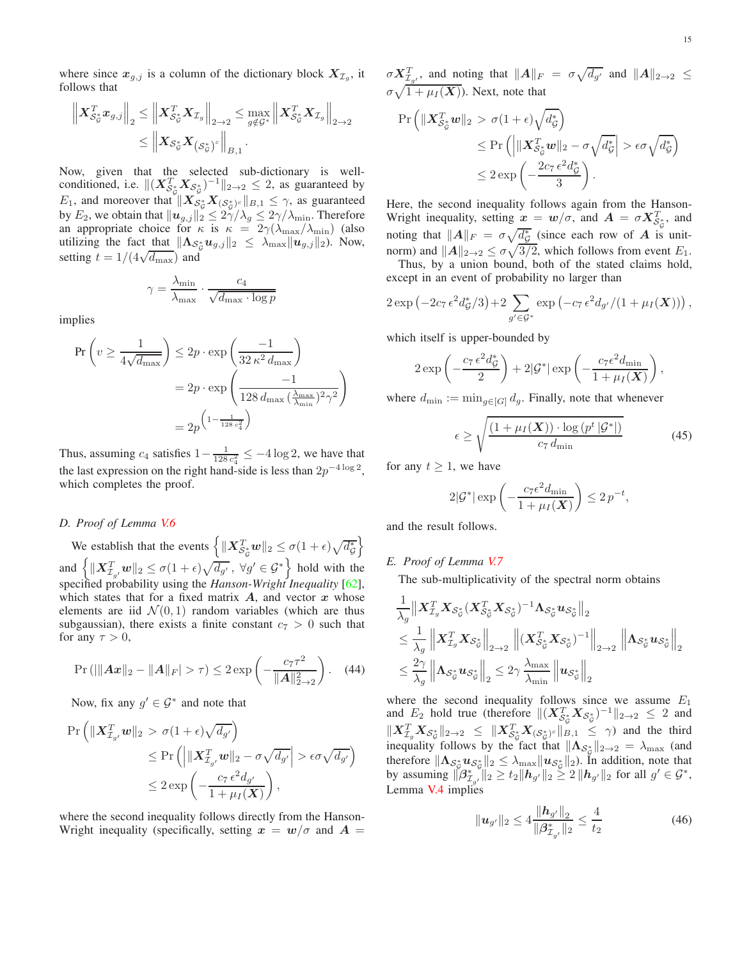where since  $x_{g,j}$  is a column of the dictionary block  $X_{\mathcal{I}_g}$ , it follows that

$$
\begin{aligned} \left\| \boldsymbol{X}_{\mathcal{S}_{\mathcal{G}}^*}^T \boldsymbol{x}_{g,j} \right\|_2 & \leq \left\| \boldsymbol{X}_{\mathcal{S}_{\mathcal{G}}^*}^T \boldsymbol{X}_{\mathcal{I}_g} \right\|_{2 \rightarrow 2} \leq \max_{g \notin \mathcal{G}^*} \left\| \boldsymbol{X}_{\mathcal{S}_{\mathcal{G}}^*}^T \boldsymbol{X}_{\mathcal{I}_g} \right\|_{2 \rightarrow 2} \\ & \leq \left\| \boldsymbol{X}_{\mathcal{S}_{\mathcal{G}}^*} \boldsymbol{X}_{\left(\mathcal{S}_{\mathcal{G}}^*\right)^c} \right\|_{B,1}. \end{aligned}
$$

Now, given that the selected sub-dictionary is wellconditioned, i.e.  $\|(X_{\mathcal{S}_{\mathcal{G}}^*}^T X_{\mathcal{S}_{\mathcal{G}}^*})^{-1}\|_{2\to 2} \leq 2$ , as guaranteed by  $E_1$ , and moreover that  $||X_{\mathcal{S}_{\mathcal{G}}^*}X_{(\mathcal{S}_{\mathcal{G}}^*)^c}||_{B,1} \leq \gamma$ , as guaranteed by  $E_2$ , we obtain that  $||\boldsymbol{u}_{g,j}||_2 \leq 2\gamma/\lambda_g \leq 2\gamma/\lambda_{\min}$ . Therefore an appropriate choice for  $\kappa$  is  $\kappa = 2\gamma(\lambda_{\text{max}}/\lambda_{\text{min}})$  (also utilizing the fact that  $\|\mathbf{\Lambda}_{\mathcal{S}_{\mathcal{G}}^*}\mathbf{u}_{g,j}\|_2 \leq \lambda_{\max} \|\mathbf{u}_{g,j}\|_2$ ). Now, setting  $t = 1/(4\sqrt{d_{\text{max}}})$  and

$$
\gamma = \frac{\lambda_{\min}}{\lambda_{\max}} \cdot \frac{c_4}{\sqrt{d_{\max} \cdot \log p}}
$$

implies

$$
\Pr\left(v \ge \frac{1}{4\sqrt{d_{\max}}}\right) \le 2p \cdot \exp\left(\frac{-1}{32 \kappa^2 d_{\max}}\right)
$$

$$
= 2p \cdot \exp\left(\frac{-1}{128 d_{\max} (\frac{\lambda_{\max}}{\lambda_{\min}})^2 \gamma^2}\right)
$$

$$
= 2p^{\left(1 - \frac{1}{128 c_4^2}\right)}
$$

Thus, assuming  $c_4$  satisfies  $1 - \frac{1}{128 c_4^2} \le -4 \log 2$ , we have that the last expression on the right hand-side is less than  $2p^{-4\log 2}$ , which completes the proof.

#### *D. Proof of Lemma [V.6](#page-10-5)*

We establish that the events  $\left\{ \| \boldsymbol{X}_{\mathcal{S}_{\mathcal{G}}^*}^T \boldsymbol{w} \|_2 \le \sigma (1 + \epsilon) \sqrt{d_{\mathcal{G}}^*} \right\}$  $\mathcal{L}$ and  $\left\{ \|\boldsymbol{X}_{\mathcal{I}_{g'}}^T \boldsymbol{w}\|_2 \leq \sigma(1+\epsilon)\sqrt{\overline{d_{g'}}}, \ \forall g' \in \mathcal{G}^* \right\}$  hold with the specified probability using the *Hanson-Wright Inequality* [\[62\]](#page-16-29), which states that for a fixed matrix  $A$ , and vector  $x$  whose elements are iid  $\mathcal{N}(0, 1)$  random variables (which are thus subgaussian), there exists a finite constant  $c_7 > 0$  such that for any  $\tau > 0$ ,

$$
\Pr\left(||\|\mathbf{A}\mathbf{x}\|_2 - \|\mathbf{A}\|_F| > \tau\right) \le 2 \exp\left(-\frac{c_7 \tau^2}{\|\mathbf{A}\|_{2\to 2}^2}\right). \tag{44}
$$

Now, fix any  $g' \in \mathcal{G}^*$  and note that

$$
\begin{aligned} \Pr\left(\|\boldsymbol{X}_{\mathcal{I}_{g'}}^T \boldsymbol{w}\|_2 > \sigma(1+\epsilon)\sqrt{d_{g'}}\right) \\ &\leq \Pr\left(\left|\|\boldsymbol{X}_{\mathcal{I}_{g'}}^T \boldsymbol{w}\|_2 - \sigma \sqrt{d_{g'}}\right| > \epsilon \sigma \sqrt{d_{g'}}\right) \\ &\leq 2 \exp\left(-\frac{c_7 \epsilon^2 d_{g'}}{1 + \mu_I(\boldsymbol{X})}\right), \end{aligned}
$$

where the second inequality follows directly from the Hanson-Wright inequality (specifically, setting  $x = w/\sigma$  and  $A =$ 

 $\sigma X^T_{\mathcal{I}_{g'}}$ , and noting that  $||A||_F = \sigma \sqrt{d_{g'}}$  and  $||A||_{2\to 2} \leq$  $\sigma \sqrt{1 + \mu_I(\boldsymbol{X})}$ ). Next, note that

$$
\Pr\left(\|\boldsymbol{X}_{\mathcal{S}_{\mathcal{G}}^{*}}^{T}\boldsymbol{w}\|_{2} > \sigma(1+\epsilon)\sqrt{d_{\mathcal{G}}^{*}}\right) \leq \Pr\left(\left|\|\boldsymbol{X}_{\mathcal{S}_{\mathcal{G}}^{*}}^{T}\boldsymbol{w}\|_{2} - \sigma\sqrt{d_{\mathcal{G}}^{*}}\right| > \epsilon\sigma\sqrt{d_{\mathcal{G}}^{*}}\right) \leq 2\exp\left(-\frac{2c_{7}\epsilon^{2}d_{\mathcal{G}}^{*}}{3}\right).
$$

Here, the second inequality follows again from the Hanson-Wright inequality, setting  $\boldsymbol{x} = \boldsymbol{w}/\sigma$ , and  $\boldsymbol{A} = \sigma \boldsymbol{X}_{\mathcal{S}_{\mathcal{G}}}^T$ , and noting that  $||A||_F = \sigma \sqrt{\frac{d^*}{G}}$  (since each row of A is unitnorm) and  $||A||_{2\rightarrow 2} \le \sigma \sqrt{3/2}$ , which follows from event  $E_1$ .

Thus, by a union bound, both of the stated claims hold, except in an event of probability no larger than

$$
2 \exp \left(-2c_7 \epsilon^2 d_{\mathcal{G}}^*/3\right) + 2 \sum_{g' \in \mathcal{G}^*} \exp \left(-c_7 \epsilon^2 d_{g'}/(1 + \mu_I(\bm{X}))\right),
$$

which itself is upper-bounded by

$$
2\exp\left(-\frac{c_7\epsilon^2d_G^*}{2}\right) + 2|\mathcal{G}^*|\exp\left(-\frac{c_7\epsilon^2d_{\min}}{1 + \mu_I(\boldsymbol{X})}\right),\,
$$

where  $d_{\min} := \min_{g \in [G]} d_g$ . Finally, note that whenever

$$
\epsilon \ge \sqrt{\frac{\left(1 + \mu_I(\boldsymbol{X})\right) \cdot \log\left(p^t \left|\mathcal{G}^*\right|\right)}{c_7 \, d_{\min}}} \tag{45}
$$

for any  $t \geq 1$ , we have

$$
2|\mathcal{G}^*| \exp\left(-\frac{c_7\epsilon^2 d_{\min}}{1 + \mu_I(\boldsymbol{X})}\right) \le 2p^{-t},
$$

and the result follows.

# *E. Proof of Lemma [V.7](#page-10-1)*

The sub-multiplicativity of the spectral norm obtains

$$
\begin{aligned} &\frac{1}{\lambda_g}\big\|X_{\mathcal{I}_g}^TX_{\mathcal{S}_\mathcal{G}^*}(X_{\mathcal{S}_\mathcal{G}^*}^TX_{\mathcal{S}_\mathcal{G}^*})^{-1}\Lambda_{\mathcal{S}_\mathcal{G}^*}u_{\mathcal{S}_\mathcal{G}^*}\big\|_2\\ &\leq \frac{1}{\lambda_g}\left\|X_{\mathcal{I}_g}^TX_{\mathcal{S}_\mathcal{G}^*}\right\|_{2\to 2}\left\|(X_{\mathcal{S}_\mathcal{G}^*}^TX_{\mathcal{S}_\mathcal{G}^*})^{-1}\right\|_{2\to 2}\left\|\Lambda_{\mathcal{S}_\mathcal{G}^*}u_{\mathcal{S}_\mathcal{G}^*}\right\|_2\\ &\leq \frac{2\gamma}{\lambda_g}\left\|\Lambda_{\mathcal{S}_\mathcal{G}^*}u_{\mathcal{S}_\mathcal{G}^*}\right\|_2\leq 2\gamma\frac{\lambda_{\max}}{\lambda_{\min}}\left\|u_{\mathcal{S}_\mathcal{G}^*}\right\|_2\end{aligned}
$$

where the second inequality follows since we assume  $E_1$ and  $E_2$  hold true (therefore  $\|(X_{\mathcal{S}_{\mathcal{G}}^*}^T X_{\mathcal{S}_{\mathcal{G}}^*})^{-1}\|_{2\to 2} \leq 2$  and  $\|X_{\mathcal{I}_g}^T X_{\mathcal{S}_g^*}\|_{2\to 2} \leq \|X_{\mathcal{S}_g^*}^T X_{(\mathcal{S}_g^*)^c}\|_{B,1} \leq \gamma$  and the third inequality follows by the fact that  $||\Lambda_{\mathcal{S}_{\mathcal{G}}^*}||_{2\to 2} = \lambda_{\max}$  (and therefore  $\|\mathbf{\Lambda}_{\mathcal{S}_{\mathcal{G}}^*} u_{\mathcal{S}_{\mathcal{G}}^*}\|_2 \leq \lambda_{\max} \|u_{\mathcal{S}_{\mathcal{G}}^*}\|_2.$  In addition, note that by assuming  $\|\beta^*_{\mathcal{I}_{\mathcal{G}'}}\|_2 \ge t_2 \|h_{\mathcal{G}'}\|_2 \ge 2 \|h_{\mathcal{G}'}\|_2$  for all  $g' \in \mathcal{G}^*$ , Lemma [V.4](#page-9-5) implies

$$
\|\mathbf{u}_{g'}\|_2 \le 4 \frac{\|\mathbf{h}_{g'}\|_2}{\|\beta^*_{\mathcal{I}_{g'}}\|_2} \le \frac{4}{t_2}
$$
 (46)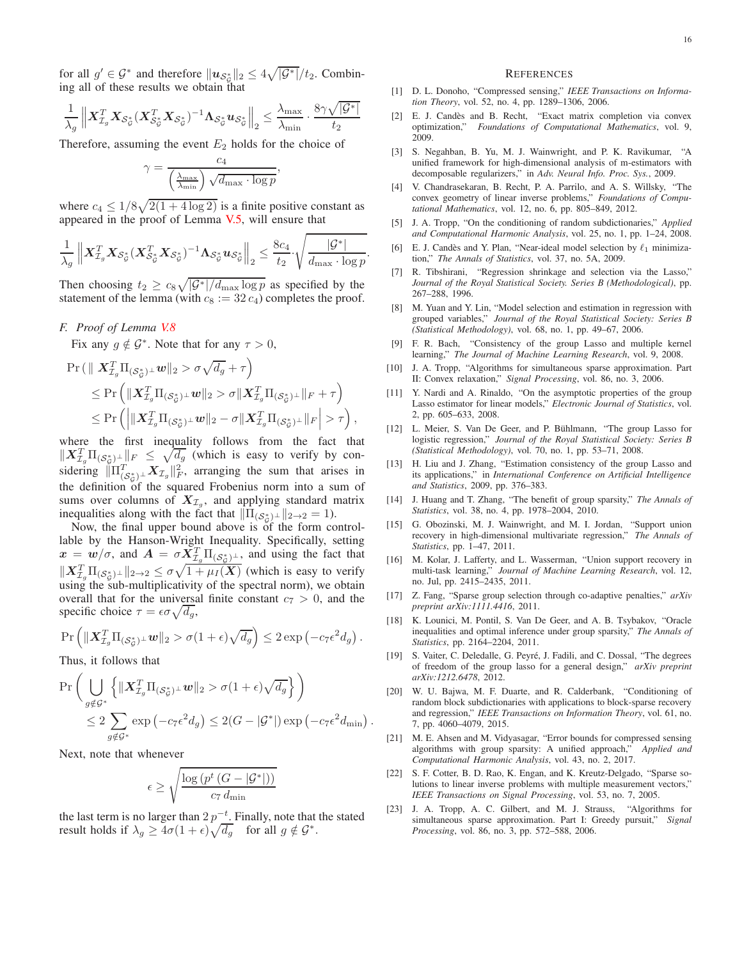for all  $g' \in \mathcal{G}^*$  and therefore  $||\boldsymbol{u}_{\mathcal{S}_{\mathcal{G}}^*}||_2 \leq 4\sqrt{|\mathcal{G}^*|}/t_2$ . Combining all of these results we obtain that

$$
\frac{1}{\lambda_g}\left\|\boldsymbol{X}_{\mathcal{I}_g}^T\boldsymbol{X}_{\mathcal{S}_{\mathcal{G}}^*}(\boldsymbol{X}_{\mathcal{S}_{\mathcal{G}}^*}^T\boldsymbol{X}_{\mathcal{S}_{\mathcal{G}}^*})^{-1}\boldsymbol{\Lambda}_{\mathcal{S}_{\mathcal{G}}^*}\boldsymbol{u}_{\mathcal{S}_{\mathcal{G}}^*}\right\|_2 \leq \frac{\lambda_{\max}}{\lambda_{\min}}\cdot \frac{8\gamma\sqrt{|\mathcal{G}^*|}}{t_2}
$$

Therefore, assuming the event  $E_2$  holds for the choice of

$$
\gamma = \frac{c_4}{\left(\frac{\lambda_{\max}}{\lambda_{\min}}\right)\sqrt{d_{\max} \cdot \log p}},
$$

where  $c_4 \leq 1/8\sqrt{2(1+4\log 2)}$  is a finite positive constant as appeared in the proof of Lemma [V.5,](#page-10-0) will ensure that

$$
\frac{1}{\lambda_g}\left\|\boldsymbol{X}_{\mathcal{I}_g}^T\boldsymbol{X}_{\mathcal{S}_{\mathcal{G}}^*}(\boldsymbol{X}_{\mathcal{S}_{\mathcal{G}}^*}^T\boldsymbol{X}_{\mathcal{S}_{\mathcal{G}}^*})^{-1}\boldsymbol{\Lambda}_{\mathcal{S}_{\mathcal{G}}^*}\boldsymbol{u}_{\mathcal{S}_{\mathcal{G}}^*}\right\|_2 \leq \frac{8c_4}{t_2}\sqrt{\frac{|\mathcal{G}^*|}{d_{\max}\cdot\log p}}
$$

.

Then choosing  $t_2 \geq c_8 \sqrt{|\mathcal{G}^*|/d_{\max} \log p}$  as specified by the statement of the lemma (with  $c_8 := 32 c_4$ ) completes the proof.

#### *F. Proof of Lemma [V.8](#page-11-1)*

Fix any  $g \notin \mathcal{G}^*$ . Note that for any  $\tau > 0$ ,

$$
\begin{aligned} &\Pr\left(\parallel \boldsymbol{X}_{\mathcal{I}_g}^T\Pi_{(\mathcal{S}_{\mathcal{G}}^*)^{\perp}}\boldsymbol{w} \Vert_2 > \sigma \sqrt{d_g} + \tau\right)\\ &\leq \Pr\left(\|\boldsymbol{X}_{\mathcal{I}_g}^T\Pi_{(\mathcal{S}_{\mathcal{G}}^*)^{\perp}}\boldsymbol{w} \Vert_2 > \sigma \|\boldsymbol{X}_{\mathcal{I}_g}^T\Pi_{(\mathcal{S}_{\mathcal{G}}^*)^{\perp}}\|_F + \tau\right)\\ &\leq \Pr\left(\left|\|\boldsymbol{X}_{\mathcal{I}_g}^T\Pi_{(\mathcal{S}_{\mathcal{G}}^*)^{\perp}}\boldsymbol{w} \Vert_2 - \sigma \|\boldsymbol{X}_{\mathcal{I}_g}^T\Pi_{(\mathcal{S}_{\mathcal{G}}^*)^{\perp}}\|_F\right| > \tau\right), \end{aligned}
$$

where the first inequality follows from the fact that  $\|X_{\mathcal{I}_g}^T\Pi_{(\mathcal{S}_{\mathcal{G}}^*)^\perp}\|_F \leq \sqrt{\frac{d_g}{d_g}}$  (which is easy to verify by considering  $\|\Pi_{(\mathcal{S}_{\mathcal{G}}^*)^{\perp}}^T \mathbf{X}_{\mathcal{I}_{g}}\|_F^2$ , arranging the sum that arises in the definition of the squared Frobenius norm into a sum of sums over columns of  $X_{\mathcal{I}_g}$ , and applying standard matrix inequalities along with the fact that  $\|\Pi_{(\mathcal{S}_{\mathcal{G}}^*)^{\perp}}\|_{2\to 2} = 1$ ).

Now, the final upper bound above is of the form controllable by the Hanson-Wright Inequality. Specifically, setting  $x = w/\sigma$ , and  $A = \sigma \frac{X_{\mathcal{I}_{g}}^T \Pi_{(\mathcal{S}_{\mathcal{G}}^*)^{\perp}}} {\sigma}$ , and using the fact that  $||X_{\mathcal{I}_g}^T \Pi_{(\mathcal{S}_g^*)^{\perp}}||_{2\to 2} \leq \sigma \sqrt{1 + \mu_I(X)}$  (which is easy to verify using the sub-multiplicativity of the spectral norm), we obtain overall that for the universal finite constant  $c_7 > 0$ , and the specific choice  $\tau = \epsilon \sigma \sqrt{d_g}$ ,

$$
\Pr\left(\|\boldsymbol{X}_{\mathcal{I}_g}^T\Pi_{(\mathcal{S}_g^*)^{\perp}}\boldsymbol{w}\|_2 > \sigma(1+\epsilon)\sqrt{d_g}\right) \leq 2\exp\left(-c_7\epsilon^2 d_g\right).
$$

Thus, it follows that

$$
\Pr\left(\bigcup_{g \notin \mathcal{G}^*} \left\{\|X_{\mathcal{I}_g}^T\Pi_{(\mathcal{S}_{\mathcal{G}}^*)^\perp} \boldsymbol{w}\|_2 > \sigma(1+\epsilon)\sqrt{d_g}\right\}\right) \n\leq 2 \sum_{g \notin \mathcal{G}^*} \exp\left(-c_7\epsilon^2 d_g\right) \leq 2(G - |\mathcal{G}^*|) \exp\left(-c_7\epsilon^2 d_{\min}\right).
$$

Next, note that whenever

$$
\epsilon \ge \sqrt{\frac{\log\left(p^t\left(G-|\mathcal{G}^*|\right)\right)}{c_7\,d_{\min}}}
$$

the last term is no larger than  $2p^{-t}$ . Finally, note that the stated result holds if  $\lambda_g \ge 4\sigma(1+\epsilon)\sqrt{d_g}$  for all  $g \notin \mathcal{G}^*$ .

### **REFERENCES**

- <span id="page-15-0"></span>[1] D. L. Donoho, "Compressed sensing," *IEEE Transactions on Information Theory*, vol. 52, no. 4, pp. 1289–1306, 2006.
- [2] E. J. Candès and B. Recht, "Exact matrix completion via convex optimization," *Foundations of Computational Mathematics*, vol. 9, 2009.
- [3] S. Negahban, B. Yu, M. J. Wainwright, and P. K. Ravikumar, "A unified framework for high-dimensional analysis of m-estimators with decomposable regularizers," in *Adv. Neural Info. Proc. Sys.*, 2009.
- <span id="page-15-1"></span>[4] V. Chandrasekaran, B. Recht, P. A. Parrilo, and A. S. Willsky, "The convex geometry of linear inverse problems," *Foundations of Computational Mathematics*, vol. 12, no. 6, pp. 805–849, 2012.
- <span id="page-15-2"></span>[5] J. A. Tropp, "On the conditioning of random subdictionaries," *Applied and Computational Harmonic Analysis*, vol. 25, no. 1, pp. 1–24, 2008.
- <span id="page-15-3"></span>[6] E. J. Candès and Y. Plan, "Near-ideal model selection by  $\ell_1$  minimization," *The Annals of Statistics*, vol. 37, no. 5A, 2009.
- <span id="page-15-4"></span>[7] R. Tibshirani, "Regression shrinkage and selection via the Lasso," *Journal of the Royal Statistical Society. Series B (Methodological)*, pp. 267–288, 1996.
- <span id="page-15-5"></span>[8] M. Yuan and Y. Lin, "Model selection and estimation in regression with grouped variables," *Journal of the Royal Statistical Society: Series B (Statistical Methodology)*, vol. 68, no. 1, pp. 49–67, 2006.
- <span id="page-15-6"></span>[9] F. R. Bach, "Consistency of the group Lasso and multiple kernel learning," *The Journal of Machine Learning Research*, vol. 9, 2008.
- [10] J. A. Tropp, "Algorithms for simultaneous sparse approximation. Part II: Convex relaxation," *Signal Processing*, vol. 86, no. 3, 2006.
- <span id="page-15-13"></span>[11] Y. Nardi and A. Rinaldo, "On the asymptotic properties of the group Lasso estimator for linear models," *Electronic Journal of Statistics*, vol. 2, pp. 605–633, 2008.
- <span id="page-15-10"></span>[12] L. Meier, S. Van De Geer, and P. Bühlmann, "The group Lasso for logistic regression," *Journal of the Royal Statistical Society: Series B (Statistical Methodology)*, vol. 70, no. 1, pp. 53–71, 2008.
- <span id="page-15-14"></span>[13] H. Liu and J. Zhang, "Estimation consistency of the group Lasso and its applications," in *International Conference on Artificial Intelligence and Statistics*, 2009, pp. 376–383.
- <span id="page-15-15"></span>[14] J. Huang and T. Zhang, "The benefit of group sparsity," *The Annals of Statistics*, vol. 38, no. 4, pp. 1978–2004, 2010.
- <span id="page-15-11"></span>[15] G. Obozinski, M. J. Wainwright, and M. I. Jordan, "Support union recovery in high-dimensional multivariate regression," *The Annals of Statistics*, pp. 1–47, 2011.
- <span id="page-15-12"></span>[16] M. Kolar, J. Lafferty, and L. Wasserman, "Union support recovery in multi-task learning," *Journal of Machine Learning Research*, vol. 12, no. Jul, pp. 2415–2435, 2011.
- [17] Z. Fang, "Sparse group selection through co-adaptive penalties," *arXiv preprint arXiv:1111.4416*, 2011.
- [18] K. Lounici, M. Pontil, S. Van De Geer, and A. B. Tsybakov, "Oracle inequalities and optimal inference under group sparsity," *The Annals of Statistics*, pp. 2164–2204, 2011.
- [19] S. Vaiter, C. Deledalle, G. Peyré, J. Fadili, and C. Dossal, "The degrees of freedom of the group lasso for a general design," *arXiv preprint arXiv:1212.6478*, 2012.
- <span id="page-15-9"></span>[20] W. U. Bajwa, M. F. Duarte, and R. Calderbank, "Conditioning of random block subdictionaries with applications to block-sparse recovery and regression," *IEEE Transactions on Information Theory*, vol. 61, no. 7, pp. 4060–4079, 2015.
- <span id="page-15-7"></span>[21] M. E. Ahsen and M. Vidyasagar, "Error bounds for compressed sensing algorithms with group sparsity: A unified approach," *Applied and Computational Harmonic Analysis*, vol. 43, no. 2, 2017.
- <span id="page-15-8"></span>[22] S. F. Cotter, B. D. Rao, K. Engan, and K. Kreutz-Delgado, "Sparse solutions to linear inverse problems with multiple measurement vectors," *IEEE Transactions on Signal Processing*, vol. 53, no. 7, 2005.
- [23] J. A. Tropp, A. C. Gilbert, and M. J. Strauss, "Algorithms for simultaneous sparse approximation. Part I: Greedy pursuit," *Signal Processing*, vol. 86, no. 3, pp. 572–588, 2006.